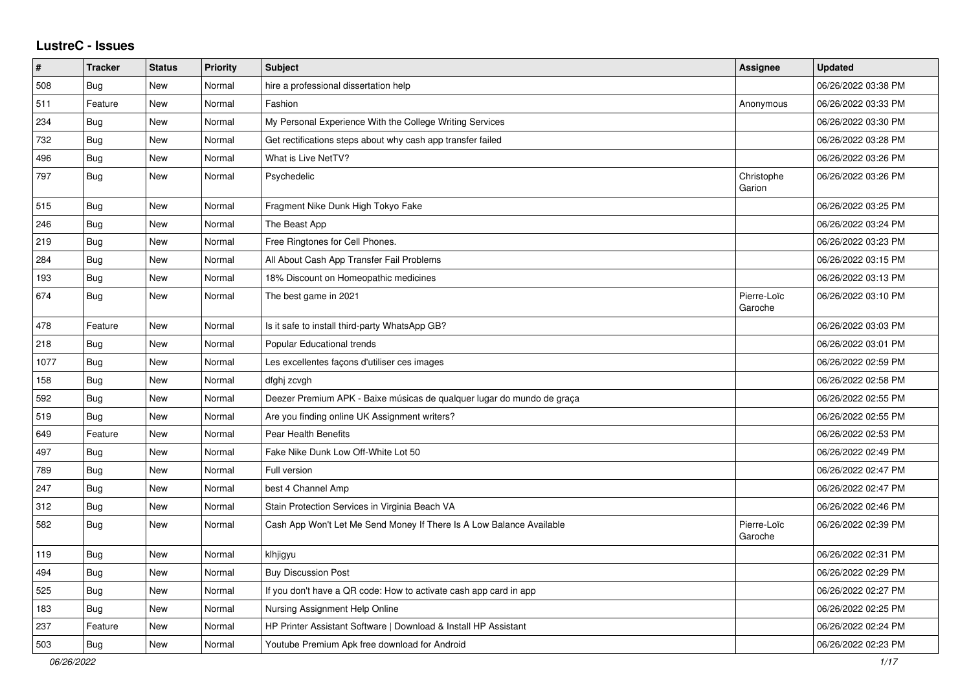## **LustreC - Issues**

| $\#$ | <b>Tracker</b> | <b>Status</b> | Priority | <b>Subject</b>                                                         | <b>Assignee</b>        | <b>Updated</b>      |
|------|----------------|---------------|----------|------------------------------------------------------------------------|------------------------|---------------------|
| 508  | <b>Bug</b>     | <b>New</b>    | Normal   | hire a professional dissertation help                                  |                        | 06/26/2022 03:38 PM |
| 511  | Feature        | <b>New</b>    | Normal   | Fashion                                                                | Anonymous              | 06/26/2022 03:33 PM |
| 234  | <b>Bug</b>     | <b>New</b>    | Normal   | My Personal Experience With the College Writing Services               |                        | 06/26/2022 03:30 PM |
| 732  | <b>Bug</b>     | New           | Normal   | Get rectifications steps about why cash app transfer failed            |                        | 06/26/2022 03:28 PM |
| 496  | Bug            | New           | Normal   | What is Live NetTV?                                                    |                        | 06/26/2022 03:26 PM |
| 797  | <b>Bug</b>     | New           | Normal   | Psychedelic                                                            | Christophe<br>Garion   | 06/26/2022 03:26 PM |
| 515  | <b>Bug</b>     | <b>New</b>    | Normal   | Fragment Nike Dunk High Tokyo Fake                                     |                        | 06/26/2022 03:25 PM |
| 246  | Bug            | New           | Normal   | The Beast App                                                          |                        | 06/26/2022 03:24 PM |
| 219  | <b>Bug</b>     | <b>New</b>    | Normal   | Free Ringtones for Cell Phones.                                        |                        | 06/26/2022 03:23 PM |
| 284  | <b>Bug</b>     | New           | Normal   | All About Cash App Transfer Fail Problems                              |                        | 06/26/2022 03:15 PM |
| 193  | Bug            | <b>New</b>    | Normal   | 18% Discount on Homeopathic medicines                                  |                        | 06/26/2022 03:13 PM |
| 674  | <b>Bug</b>     | <b>New</b>    | Normal   | The best game in 2021                                                  | Pierre-Loïc<br>Garoche | 06/26/2022 03:10 PM |
| 478  | Feature        | <b>New</b>    | Normal   | Is it safe to install third-party WhatsApp GB?                         |                        | 06/26/2022 03:03 PM |
| 218  | Bug            | <b>New</b>    | Normal   | <b>Popular Educational trends</b>                                      |                        | 06/26/2022 03:01 PM |
| 1077 | <b>Bug</b>     | <b>New</b>    | Normal   | Les excellentes façons d'utiliser ces images                           |                        | 06/26/2022 02:59 PM |
| 158  | Bug            | <b>New</b>    | Normal   | dfghj zcvgh                                                            |                        | 06/26/2022 02:58 PM |
| 592  | Bug            | <b>New</b>    | Normal   | Deezer Premium APK - Baixe músicas de qualquer lugar do mundo de graça |                        | 06/26/2022 02:55 PM |
| 519  | Bug            | <b>New</b>    | Normal   | Are you finding online UK Assignment writers?                          |                        | 06/26/2022 02:55 PM |
| 649  | Feature        | <b>New</b>    | Normal   | Pear Health Benefits                                                   |                        | 06/26/2022 02:53 PM |
| 497  | Bug            | New           | Normal   | Fake Nike Dunk Low Off-White Lot 50                                    |                        | 06/26/2022 02:49 PM |
| 789  | Bug            | <b>New</b>    | Normal   | Full version                                                           |                        | 06/26/2022 02:47 PM |
| 247  | <b>Bug</b>     | New           | Normal   | best 4 Channel Amp                                                     |                        | 06/26/2022 02:47 PM |
| 312  | Bug            | <b>New</b>    | Normal   | Stain Protection Services in Virginia Beach VA                         |                        | 06/26/2022 02:46 PM |
| 582  | <b>Bug</b>     | <b>New</b>    | Normal   | Cash App Won't Let Me Send Money If There Is A Low Balance Available   | Pierre-Loïc<br>Garoche | 06/26/2022 02:39 PM |
| 119  | <b>Bug</b>     | <b>New</b>    | Normal   | klhjigyu                                                               |                        | 06/26/2022 02:31 PM |
| 494  | <b>Bug</b>     | New           | Normal   | <b>Buy Discussion Post</b>                                             |                        | 06/26/2022 02:29 PM |
| 525  | <b>Bug</b>     | <b>New</b>    | Normal   | If you don't have a QR code: How to activate cash app card in app      |                        | 06/26/2022 02:27 PM |
| 183  | <b>Bug</b>     | <b>New</b>    | Normal   | Nursing Assignment Help Online                                         |                        | 06/26/2022 02:25 PM |
| 237  | Feature        | <b>New</b>    | Normal   | HP Printer Assistant Software   Download & Install HP Assistant        |                        | 06/26/2022 02:24 PM |
| 503  | <b>Bug</b>     | New           | Normal   | Youtube Premium Apk free download for Android                          |                        | 06/26/2022 02:23 PM |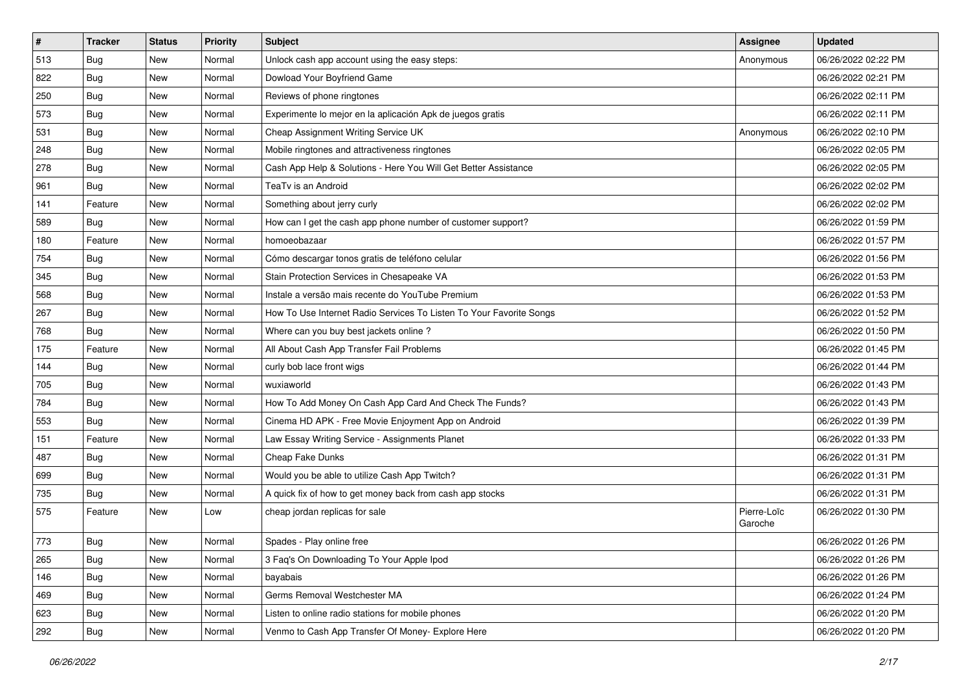| $\vert$ # | <b>Tracker</b> | <b>Status</b> | <b>Priority</b> | <b>Subject</b>                                                      | <b>Assignee</b>        | <b>Updated</b>      |
|-----------|----------------|---------------|-----------------|---------------------------------------------------------------------|------------------------|---------------------|
| 513       | <b>Bug</b>     | New           | Normal          | Unlock cash app account using the easy steps:                       | Anonymous              | 06/26/2022 02:22 PM |
| 822       | <b>Bug</b>     | New           | Normal          | Dowload Your Boyfriend Game                                         |                        | 06/26/2022 02:21 PM |
| 250       | Bug            | New           | Normal          | Reviews of phone ringtones                                          |                        | 06/26/2022 02:11 PM |
| 573       | <b>Bug</b>     | New           | Normal          | Experimente lo mejor en la aplicación Apk de juegos gratis          |                        | 06/26/2022 02:11 PM |
| 531       | <b>Bug</b>     | New           | Normal          | Cheap Assignment Writing Service UK                                 | Anonymous              | 06/26/2022 02:10 PM |
| 248       | <b>Bug</b>     | New           | Normal          | Mobile ringtones and attractiveness ringtones                       |                        | 06/26/2022 02:05 PM |
| 278       | <b>Bug</b>     | New           | Normal          | Cash App Help & Solutions - Here You Will Get Better Assistance     |                        | 06/26/2022 02:05 PM |
| 961       | Bug            | New           | Normal          | TeaTv is an Android                                                 |                        | 06/26/2022 02:02 PM |
| 141       | Feature        | New           | Normal          | Something about jerry curly                                         |                        | 06/26/2022 02:02 PM |
| 589       | <b>Bug</b>     | New           | Normal          | How can I get the cash app phone number of customer support?        |                        | 06/26/2022 01:59 PM |
| 180       | Feature        | New           | Normal          | homoeobazaar                                                        |                        | 06/26/2022 01:57 PM |
| 754       | <b>Bug</b>     | New           | Normal          | Cómo descargar tonos gratis de teléfono celular                     |                        | 06/26/2022 01:56 PM |
| 345       | Bug            | <b>New</b>    | Normal          | Stain Protection Services in Chesapeake VA                          |                        | 06/26/2022 01:53 PM |
| 568       | <b>Bug</b>     | New           | Normal          | Instale a versão mais recente do YouTube Premium                    |                        | 06/26/2022 01:53 PM |
| 267       | Bug            | New           | Normal          | How To Use Internet Radio Services To Listen To Your Favorite Songs |                        | 06/26/2022 01:52 PM |
| 768       | <b>Bug</b>     | New           | Normal          | Where can you buy best jackets online?                              |                        | 06/26/2022 01:50 PM |
| 175       | Feature        | New           | Normal          | All About Cash App Transfer Fail Problems                           |                        | 06/26/2022 01:45 PM |
| 144       | <b>Bug</b>     | New           | Normal          | curly bob lace front wigs                                           |                        | 06/26/2022 01:44 PM |
| 705       | <b>Bug</b>     | New           | Normal          | wuxiaworld                                                          |                        | 06/26/2022 01:43 PM |
| 784       | <b>Bug</b>     | New           | Normal          | How To Add Money On Cash App Card And Check The Funds?              |                        | 06/26/2022 01:43 PM |
| 553       | Bug            | New           | Normal          | Cinema HD APK - Free Movie Enjoyment App on Android                 |                        | 06/26/2022 01:39 PM |
| 151       | Feature        | New           | Normal          | Law Essay Writing Service - Assignments Planet                      |                        | 06/26/2022 01:33 PM |
| 487       | Bug            | New           | Normal          | Cheap Fake Dunks                                                    |                        | 06/26/2022 01:31 PM |
| 699       | <b>Bug</b>     | New           | Normal          | Would you be able to utilize Cash App Twitch?                       |                        | 06/26/2022 01:31 PM |
| 735       | <b>Bug</b>     | New           | Normal          | A quick fix of how to get money back from cash app stocks           |                        | 06/26/2022 01:31 PM |
| 575       | Feature        | New           | Low             | cheap jordan replicas for sale                                      | Pierre-Loïc<br>Garoche | 06/26/2022 01:30 PM |
| 773       | <b>Bug</b>     | New           | Normal          | Spades - Play online free                                           |                        | 06/26/2022 01:26 PM |
| 265       | <b>Bug</b>     | New           | Normal          | 3 Faq's On Downloading To Your Apple Ipod                           |                        | 06/26/2022 01:26 PM |
| 146       | <b>Bug</b>     | New           | Normal          | bayabais                                                            |                        | 06/26/2022 01:26 PM |
| 469       | Bug            | New           | Normal          | Germs Removal Westchester MA                                        |                        | 06/26/2022 01:24 PM |
| 623       | <b>Bug</b>     | New           | Normal          | Listen to online radio stations for mobile phones                   |                        | 06/26/2022 01:20 PM |
| 292       | <b>Bug</b>     | New           | Normal          | Venmo to Cash App Transfer Of Money- Explore Here                   |                        | 06/26/2022 01:20 PM |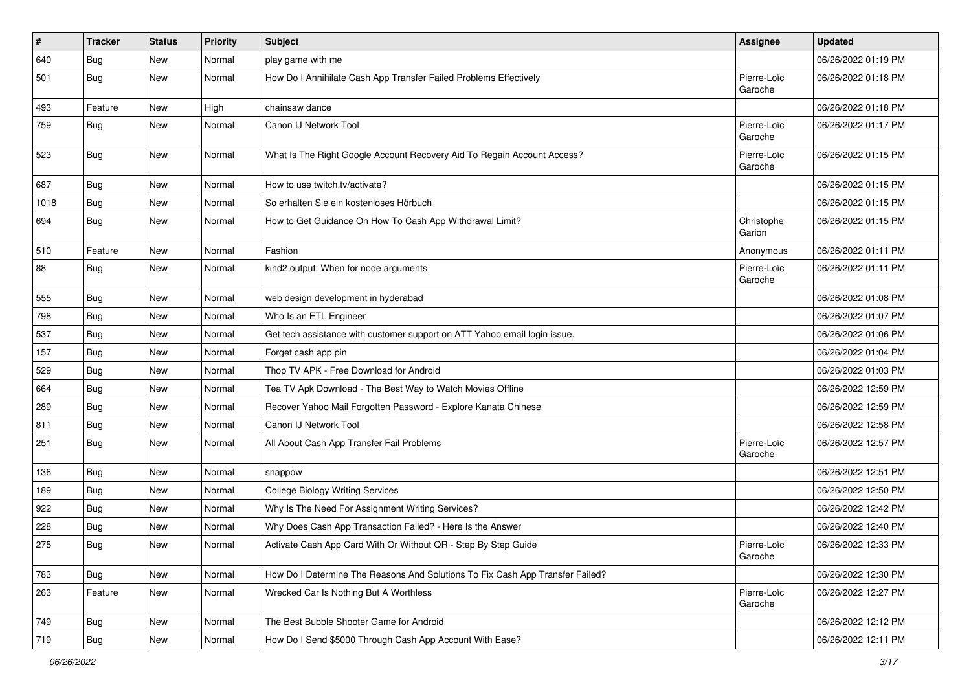| $\vert$ # | <b>Tracker</b> | <b>Status</b> | Priority | Subject                                                                       | <b>Assignee</b>        | <b>Updated</b>      |
|-----------|----------------|---------------|----------|-------------------------------------------------------------------------------|------------------------|---------------------|
| 640       | <b>Bug</b>     | New           | Normal   | play game with me                                                             |                        | 06/26/2022 01:19 PM |
| 501       | Bug            | New           | Normal   | How Do I Annihilate Cash App Transfer Failed Problems Effectively             | Pierre-Loïc<br>Garoche | 06/26/2022 01:18 PM |
| 493       | Feature        | New           | High     | chainsaw dance                                                                |                        | 06/26/2022 01:18 PM |
| 759       | <b>Bug</b>     | New           | Normal   | Canon IJ Network Tool                                                         | Pierre-Loïc<br>Garoche | 06/26/2022 01:17 PM |
| 523       | <b>Bug</b>     | New           | Normal   | What Is The Right Google Account Recovery Aid To Regain Account Access?       | Pierre-Loïc<br>Garoche | 06/26/2022 01:15 PM |
| 687       | <b>Bug</b>     | New           | Normal   | How to use twitch.tv/activate?                                                |                        | 06/26/2022 01:15 PM |
| 1018      | <b>Bug</b>     | New           | Normal   | So erhalten Sie ein kostenloses Hörbuch                                       |                        | 06/26/2022 01:15 PM |
| 694       | Bug            | New           | Normal   | How to Get Guidance On How To Cash App Withdrawal Limit?                      | Christophe<br>Garion   | 06/26/2022 01:15 PM |
| 510       | Feature        | New           | Normal   | Fashion                                                                       | Anonymous              | 06/26/2022 01:11 PM |
| 88        | Bug            | New           | Normal   | kind2 output: When for node arguments                                         | Pierre-Loïc<br>Garoche | 06/26/2022 01:11 PM |
| 555       | <b>Bug</b>     | New           | Normal   | web design development in hyderabad                                           |                        | 06/26/2022 01:08 PM |
| 798       | <b>Bug</b>     | New           | Normal   | Who Is an ETL Engineer                                                        |                        | 06/26/2022 01:07 PM |
| 537       | <b>Bug</b>     | New           | Normal   | Get tech assistance with customer support on ATT Yahoo email login issue.     |                        | 06/26/2022 01:06 PM |
| 157       | <b>Bug</b>     | New           | Normal   | Forget cash app pin                                                           |                        | 06/26/2022 01:04 PM |
| 529       | <b>Bug</b>     | New           | Normal   | Thop TV APK - Free Download for Android                                       |                        | 06/26/2022 01:03 PM |
| 664       | Bug            | New           | Normal   | Tea TV Apk Download - The Best Way to Watch Movies Offline                    |                        | 06/26/2022 12:59 PM |
| 289       | <b>Bug</b>     | New           | Normal   | Recover Yahoo Mail Forgotten Password - Explore Kanata Chinese                |                        | 06/26/2022 12:59 PM |
| 811       | <b>Bug</b>     | New           | Normal   | Canon IJ Network Tool                                                         |                        | 06/26/2022 12:58 PM |
| 251       | Bug            | New           | Normal   | All About Cash App Transfer Fail Problems                                     | Pierre-Loïc<br>Garoche | 06/26/2022 12:57 PM |
| 136       | Bug            | New           | Normal   | snappow                                                                       |                        | 06/26/2022 12:51 PM |
| 189       | Bug            | New           | Normal   | <b>College Biology Writing Services</b>                                       |                        | 06/26/2022 12:50 PM |
| 922       | Bug            | New           | Normal   | Why Is The Need For Assignment Writing Services?                              |                        | 06/26/2022 12:42 PM |
| 228       | <b>Bug</b>     | New           | Normal   | Why Does Cash App Transaction Failed? - Here Is the Answer                    |                        | 06/26/2022 12:40 PM |
| 275       | <b>Bug</b>     | New           | Normal   | Activate Cash App Card With Or Without QR - Step By Step Guide                | Pierre-Loïc<br>Garoche | 06/26/2022 12:33 PM |
| 783       | <b>Bug</b>     | New           | Normal   | How Do I Determine The Reasons And Solutions To Fix Cash App Transfer Failed? |                        | 06/26/2022 12:30 PM |
| 263       | Feature        | New           | Normal   | Wrecked Car Is Nothing But A Worthless                                        | Pierre-Loïc<br>Garoche | 06/26/2022 12:27 PM |
| 749       | Bug            | New           | Normal   | The Best Bubble Shooter Game for Android                                      |                        | 06/26/2022 12:12 PM |
| 719       | Bug            | New           | Normal   | How Do I Send \$5000 Through Cash App Account With Ease?                      |                        | 06/26/2022 12:11 PM |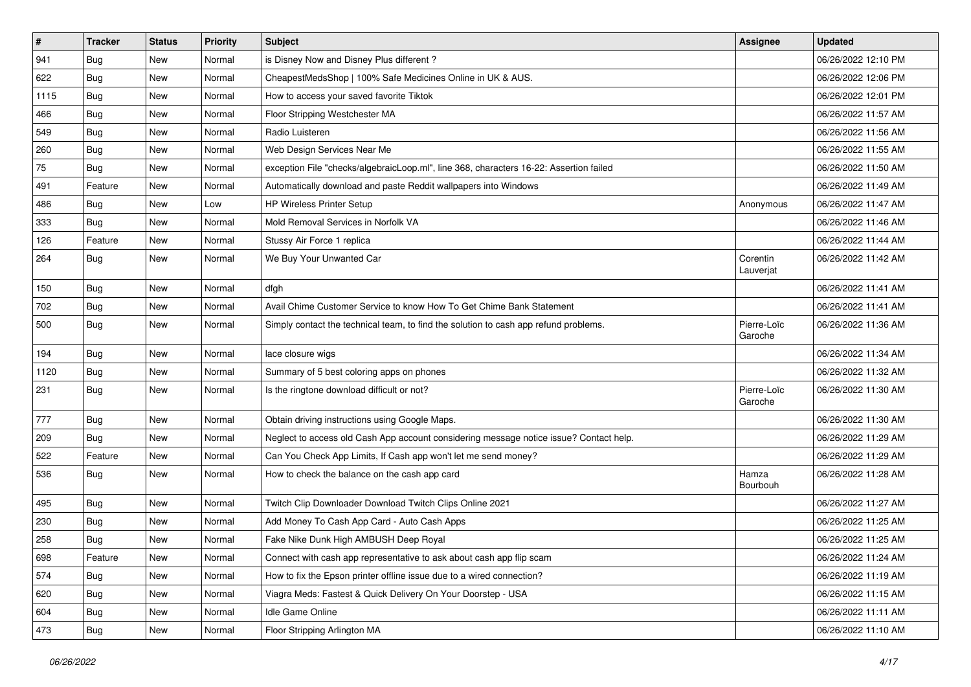| $\vert$ # | <b>Tracker</b> | <b>Status</b> | <b>Priority</b> | <b>Subject</b>                                                                         | Assignee               | <b>Updated</b>      |
|-----------|----------------|---------------|-----------------|----------------------------------------------------------------------------------------|------------------------|---------------------|
| 941       | <b>Bug</b>     | New           | Normal          | is Disney Now and Disney Plus different?                                               |                        | 06/26/2022 12:10 PM |
| 622       | Bug            | New           | Normal          | CheapestMedsShop   100% Safe Medicines Online in UK & AUS.                             |                        | 06/26/2022 12:06 PM |
| 1115      | Bug            | New           | Normal          | How to access your saved favorite Tiktok                                               |                        | 06/26/2022 12:01 PM |
| 466       | <b>Bug</b>     | New           | Normal          | Floor Stripping Westchester MA                                                         |                        | 06/26/2022 11:57 AM |
| 549       | Bug            | New           | Normal          | Radio Luisteren                                                                        |                        | 06/26/2022 11:56 AM |
| 260       | <b>Bug</b>     | New           | Normal          | Web Design Services Near Me                                                            |                        | 06/26/2022 11:55 AM |
| 75        | <b>Bug</b>     | New           | Normal          | exception File "checks/algebraicLoop.ml", line 368, characters 16-22: Assertion failed |                        | 06/26/2022 11:50 AM |
| 491       | Feature        | New           | Normal          | Automatically download and paste Reddit wallpapers into Windows                        |                        | 06/26/2022 11:49 AM |
| 486       | <b>Bug</b>     | New           | Low             | HP Wireless Printer Setup                                                              | Anonymous              | 06/26/2022 11:47 AM |
| 333       | Bug            | New           | Normal          | Mold Removal Services in Norfolk VA                                                    |                        | 06/26/2022 11:46 AM |
| 126       | Feature        | New           | Normal          | Stussy Air Force 1 replica                                                             |                        | 06/26/2022 11:44 AM |
| 264       | <b>Bug</b>     | New           | Normal          | We Buy Your Unwanted Car                                                               | Corentin<br>Lauverjat  | 06/26/2022 11:42 AM |
| 150       | Bug            | New           | Normal          | dfgh                                                                                   |                        | 06/26/2022 11:41 AM |
| 702       | Bug            | New           | Normal          | Avail Chime Customer Service to know How To Get Chime Bank Statement                   |                        | 06/26/2022 11:41 AM |
| 500       | Bug            | New           | Normal          | Simply contact the technical team, to find the solution to cash app refund problems.   | Pierre-Loïc<br>Garoche | 06/26/2022 11:36 AM |
| 194       | Bug            | New           | Normal          | lace closure wigs                                                                      |                        | 06/26/2022 11:34 AM |
| 1120      | <b>Bug</b>     | New           | Normal          | Summary of 5 best coloring apps on phones                                              |                        | 06/26/2022 11:32 AM |
| 231       | <b>Bug</b>     | New           | Normal          | Is the ringtone download difficult or not?                                             | Pierre-Loïc<br>Garoche | 06/26/2022 11:30 AM |
| 777       | Bug            | New           | Normal          | Obtain driving instructions using Google Maps.                                         |                        | 06/26/2022 11:30 AM |
| 209       | <b>Bug</b>     | New           | Normal          | Neglect to access old Cash App account considering message notice issue? Contact help. |                        | 06/26/2022 11:29 AM |
| 522       | Feature        | New           | Normal          | Can You Check App Limits, If Cash app won't let me send money?                         |                        | 06/26/2022 11:29 AM |
| 536       | <b>Bug</b>     | New           | Normal          | How to check the balance on the cash app card                                          | Hamza<br>Bourbouh      | 06/26/2022 11:28 AM |
| 495       | <b>Bug</b>     | New           | Normal          | Twitch Clip Downloader Download Twitch Clips Online 2021                               |                        | 06/26/2022 11:27 AM |
| 230       | <b>Bug</b>     | New           | Normal          | Add Money To Cash App Card - Auto Cash Apps                                            |                        | 06/26/2022 11:25 AM |
| 258       | <b>Bug</b>     | New           | Normal          | Fake Nike Dunk High AMBUSH Deep Royal                                                  |                        | 06/26/2022 11:25 AM |
| 698       | Feature        | New           | Normal          | Connect with cash app representative to ask about cash app flip scam                   |                        | 06/26/2022 11:24 AM |
| 574       | Bug            | New           | Normal          | How to fix the Epson printer offline issue due to a wired connection?                  |                        | 06/26/2022 11:19 AM |
| 620       | Bug            | New           | Normal          | Viagra Meds: Fastest & Quick Delivery On Your Doorstep - USA                           |                        | 06/26/2022 11:15 AM |
| 604       | <b>Bug</b>     | New           | Normal          | Idle Game Online                                                                       |                        | 06/26/2022 11:11 AM |
| 473       | <b>Bug</b>     | New           | Normal          | Floor Stripping Arlington MA                                                           |                        | 06/26/2022 11:10 AM |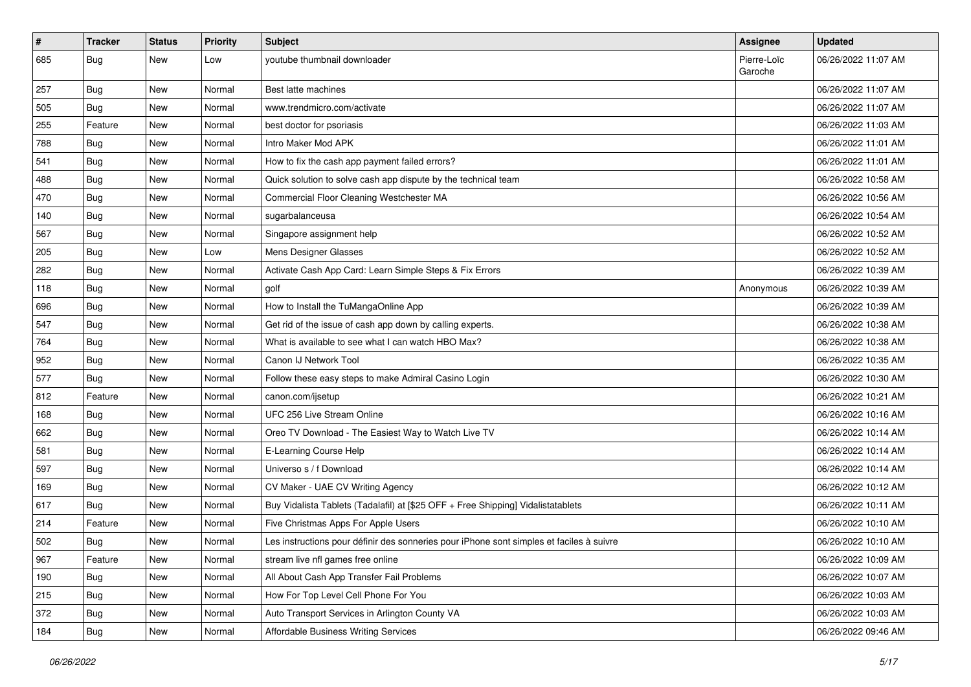| $\vert$ # | <b>Tracker</b> | <b>Status</b> | <b>Priority</b> | Subject                                                                                  | <b>Assignee</b>        | <b>Updated</b>      |
|-----------|----------------|---------------|-----------------|------------------------------------------------------------------------------------------|------------------------|---------------------|
| 685       | <b>Bug</b>     | New           | Low             | youtube thumbnail downloader                                                             | Pierre-Loïc<br>Garoche | 06/26/2022 11:07 AM |
| 257       | <b>Bug</b>     | New           | Normal          | Best latte machines                                                                      |                        | 06/26/2022 11:07 AM |
| 505       | Bug            | New           | Normal          | www.trendmicro.com/activate                                                              |                        | 06/26/2022 11:07 AM |
| 255       | Feature        | New           | Normal          | best doctor for psoriasis                                                                |                        | 06/26/2022 11:03 AM |
| 788       | <b>Bug</b>     | New           | Normal          | Intro Maker Mod APK                                                                      |                        | 06/26/2022 11:01 AM |
| 541       | Bug            | New           | Normal          | How to fix the cash app payment failed errors?                                           |                        | 06/26/2022 11:01 AM |
| 488       | Bug            | New           | Normal          | Quick solution to solve cash app dispute by the technical team                           |                        | 06/26/2022 10:58 AM |
| 470       | <b>Bug</b>     | New           | Normal          | Commercial Floor Cleaning Westchester MA                                                 |                        | 06/26/2022 10:56 AM |
| 140       | Bug            | New           | Normal          | sugarbalanceusa                                                                          |                        | 06/26/2022 10:54 AM |
| 567       | <b>Bug</b>     | New           | Normal          | Singapore assignment help                                                                |                        | 06/26/2022 10:52 AM |
| 205       | <b>Bug</b>     | New           | Low             | Mens Designer Glasses                                                                    |                        | 06/26/2022 10:52 AM |
| 282       | Bug            | New           | Normal          | Activate Cash App Card: Learn Simple Steps & Fix Errors                                  |                        | 06/26/2022 10:39 AM |
| 118       | <b>Bug</b>     | New           | Normal          | golf                                                                                     | Anonymous              | 06/26/2022 10:39 AM |
| 696       | Bug            | New           | Normal          | How to Install the TuMangaOnline App                                                     |                        | 06/26/2022 10:39 AM |
| 547       | <b>Bug</b>     | New           | Normal          | Get rid of the issue of cash app down by calling experts.                                |                        | 06/26/2022 10:38 AM |
| 764       | <b>Bug</b>     | New           | Normal          | What is available to see what I can watch HBO Max?                                       |                        | 06/26/2022 10:38 AM |
| 952       | Bug            | New           | Normal          | Canon IJ Network Tool                                                                    |                        | 06/26/2022 10:35 AM |
| 577       | Bug            | New           | Normal          | Follow these easy steps to make Admiral Casino Login                                     |                        | 06/26/2022 10:30 AM |
| 812       | Feature        | <b>New</b>    | Normal          | canon.com/ijsetup                                                                        |                        | 06/26/2022 10:21 AM |
| 168       | <b>Bug</b>     | New           | Normal          | UFC 256 Live Stream Online                                                               |                        | 06/26/2022 10:16 AM |
| 662       | <b>Bug</b>     | New           | Normal          | Oreo TV Download - The Easiest Way to Watch Live TV                                      |                        | 06/26/2022 10:14 AM |
| 581       | Bug            | New           | Normal          | E-Learning Course Help                                                                   |                        | 06/26/2022 10:14 AM |
| 597       | <b>Bug</b>     | New           | Normal          | Universo s / f Download                                                                  |                        | 06/26/2022 10:14 AM |
| 169       | <b>Bug</b>     | New           | Normal          | CV Maker - UAE CV Writing Agency                                                         |                        | 06/26/2022 10:12 AM |
| 617       | <b>Bug</b>     | New           | Normal          | Buy Vidalista Tablets (Tadalafil) at [\$25 OFF + Free Shipping] Vidalistatablets         |                        | 06/26/2022 10:11 AM |
| 214       | Feature        | New           | Normal          | Five Christmas Apps For Apple Users                                                      |                        | 06/26/2022 10:10 AM |
| 502       | <b>Bug</b>     | New           | Normal          | Les instructions pour définir des sonneries pour iPhone sont simples et faciles à suivre |                        | 06/26/2022 10:10 AM |
| 967       | Feature        | New           | Normal          | stream live nfl games free online                                                        |                        | 06/26/2022 10:09 AM |
| 190       | Bug            | New           | Normal          | All About Cash App Transfer Fail Problems                                                |                        | 06/26/2022 10:07 AM |
| 215       | Bug            | New           | Normal          | How For Top Level Cell Phone For You                                                     |                        | 06/26/2022 10:03 AM |
| 372       | Bug            | New           | Normal          | Auto Transport Services in Arlington County VA                                           |                        | 06/26/2022 10:03 AM |
| 184       | Bug            | New           | Normal          | Affordable Business Writing Services                                                     |                        | 06/26/2022 09:46 AM |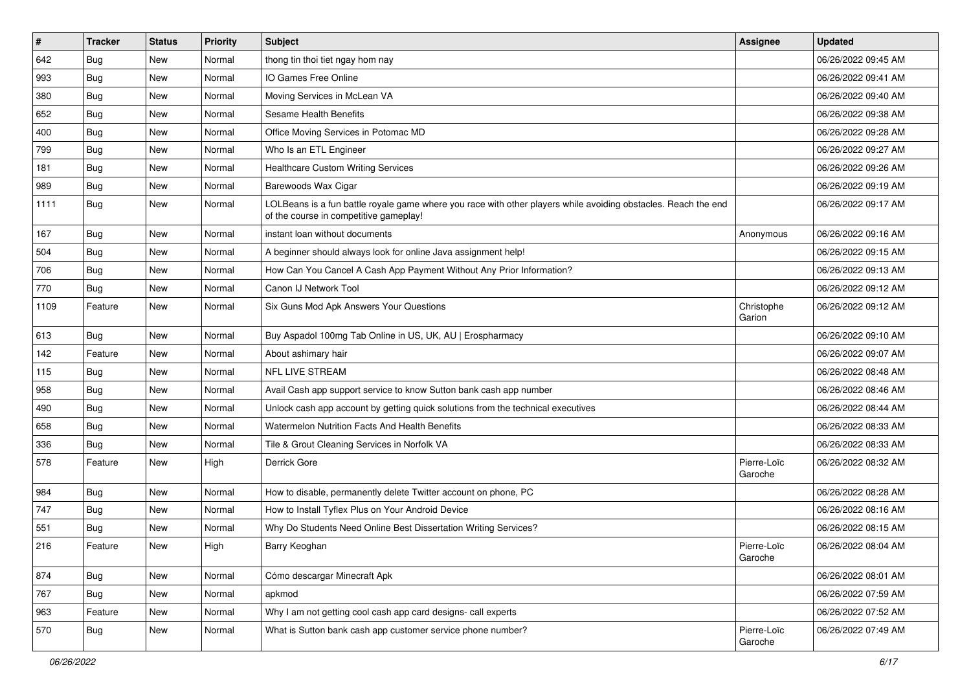| $\vert$ # | <b>Tracker</b> | <b>Status</b> | <b>Priority</b> | Subject                                                                                                                                                  | <b>Assignee</b>        | <b>Updated</b>      |
|-----------|----------------|---------------|-----------------|----------------------------------------------------------------------------------------------------------------------------------------------------------|------------------------|---------------------|
| 642       | <b>Bug</b>     | New           | Normal          | thong tin thoi tiet ngay hom nay                                                                                                                         |                        | 06/26/2022 09:45 AM |
| 993       | <b>Bug</b>     | New           | Normal          | IO Games Free Online                                                                                                                                     |                        | 06/26/2022 09:41 AM |
| 380       | <b>Bug</b>     | New           | Normal          | Moving Services in McLean VA                                                                                                                             |                        | 06/26/2022 09:40 AM |
| 652       | Bug            | New           | Normal          | <b>Sesame Health Benefits</b>                                                                                                                            |                        | 06/26/2022 09:38 AM |
| 400       | Bug            | New           | Normal          | Office Moving Services in Potomac MD                                                                                                                     |                        | 06/26/2022 09:28 AM |
| 799       | <b>Bug</b>     | New           | Normal          | Who Is an ETL Engineer                                                                                                                                   |                        | 06/26/2022 09:27 AM |
| 181       | <b>Bug</b>     | New           | Normal          | <b>Healthcare Custom Writing Services</b>                                                                                                                |                        | 06/26/2022 09:26 AM |
| 989       | <b>Bug</b>     | New           | Normal          | Barewoods Wax Cigar                                                                                                                                      |                        | 06/26/2022 09:19 AM |
| 1111      | <b>Bug</b>     | New           | Normal          | LOLBeans is a fun battle royale game where you race with other players while avoiding obstacles. Reach the end<br>of the course in competitive gameplay! |                        | 06/26/2022 09:17 AM |
| 167       | Bug            | New           | Normal          | instant loan without documents                                                                                                                           | Anonymous              | 06/26/2022 09:16 AM |
| 504       | <b>Bug</b>     | <b>New</b>    | Normal          | A beginner should always look for online Java assignment help!                                                                                           |                        | 06/26/2022 09:15 AM |
| 706       | Bug            | New           | Normal          | How Can You Cancel A Cash App Payment Without Any Prior Information?                                                                                     |                        | 06/26/2022 09:13 AM |
| 770       | <b>Bug</b>     | New           | Normal          | Canon IJ Network Tool                                                                                                                                    |                        | 06/26/2022 09:12 AM |
| 1109      | Feature        | New           | Normal          | Six Guns Mod Apk Answers Your Questions                                                                                                                  | Christophe<br>Garion   | 06/26/2022 09:12 AM |
| 613       | <b>Bug</b>     | New           | Normal          | Buy Aspadol 100mg Tab Online in US, UK, AU   Erospharmacy                                                                                                |                        | 06/26/2022 09:10 AM |
| 142       | Feature        | New           | Normal          | About ashimary hair                                                                                                                                      |                        | 06/26/2022 09:07 AM |
| 115       | <b>Bug</b>     | New           | Normal          | <b>NFL LIVE STREAM</b>                                                                                                                                   |                        | 06/26/2022 08:48 AM |
| 958       | Bug            | New           | Normal          | Avail Cash app support service to know Sutton bank cash app number                                                                                       |                        | 06/26/2022 08:46 AM |
| 490       | Bug            | New           | Normal          | Unlock cash app account by getting quick solutions from the technical executives                                                                         |                        | 06/26/2022 08:44 AM |
| 658       | <b>Bug</b>     | New           | Normal          | <b>Watermelon Nutrition Facts And Health Benefits</b>                                                                                                    |                        | 06/26/2022 08:33 AM |
| 336       | <b>Bug</b>     | New           | Normal          | Tile & Grout Cleaning Services in Norfolk VA                                                                                                             |                        | 06/26/2022 08:33 AM |
| 578       | Feature        | New           | High            | Derrick Gore                                                                                                                                             | Pierre-Loïc<br>Garoche | 06/26/2022 08:32 AM |
| 984       | Bug            | New           | Normal          | How to disable, permanently delete Twitter account on phone, PC                                                                                          |                        | 06/26/2022 08:28 AM |
| 747       | <b>Bug</b>     | New           | Normal          | How to Install Tyflex Plus on Your Android Device                                                                                                        |                        | 06/26/2022 08:16 AM |
| 551       | <b>Bug</b>     | New           | Normal          | Why Do Students Need Online Best Dissertation Writing Services?                                                                                          |                        | 06/26/2022 08:15 AM |
| 216       | Feature        | New           | High            | Barry Keoghan                                                                                                                                            | Pierre-Loïc<br>Garoche | 06/26/2022 08:04 AM |
| 874       | Bug            | New           | Normal          | Cómo descargar Minecraft Apk                                                                                                                             |                        | 06/26/2022 08:01 AM |
| 767       | <b>Bug</b>     | New           | Normal          | apkmod                                                                                                                                                   |                        | 06/26/2022 07:59 AM |
| 963       | Feature        | New           | Normal          | Why I am not getting cool cash app card designs- call experts                                                                                            |                        | 06/26/2022 07:52 AM |
| 570       | <b>Bug</b>     | New           | Normal          | What is Sutton bank cash app customer service phone number?                                                                                              | Pierre-Loïc<br>Garoche | 06/26/2022 07:49 AM |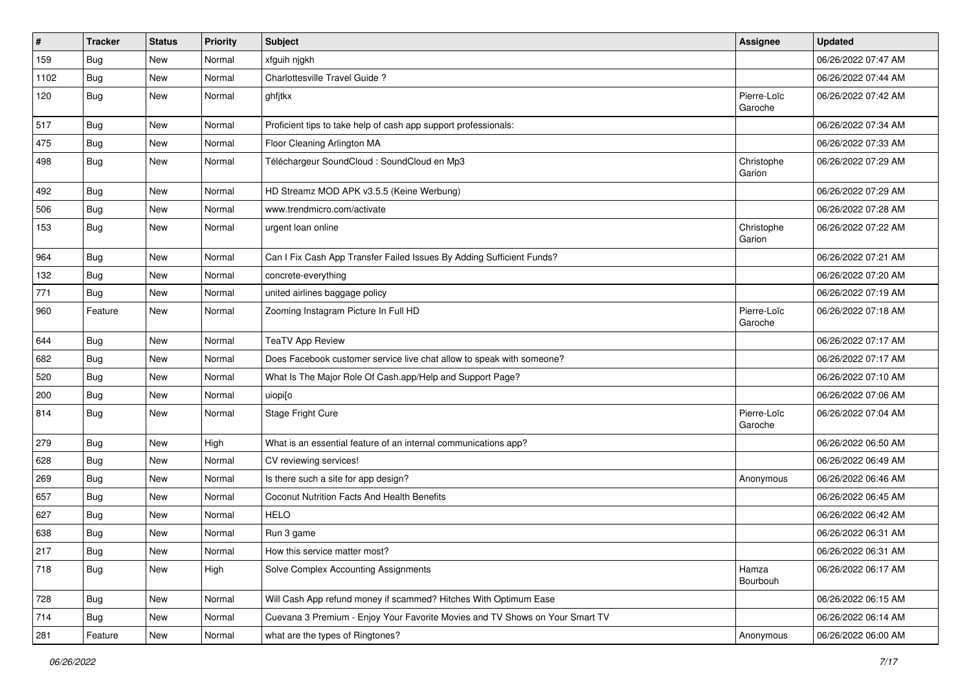| $\sharp$ | <b>Tracker</b> | <b>Status</b> | Priority | <b>Subject</b>                                                               | <b>Assignee</b>        | <b>Updated</b>      |
|----------|----------------|---------------|----------|------------------------------------------------------------------------------|------------------------|---------------------|
| 159      | <b>Bug</b>     | New           | Normal   | xfguih njgkh                                                                 |                        | 06/26/2022 07:47 AM |
| 1102     | Bug            | New           | Normal   | Charlottesville Travel Guide?                                                |                        | 06/26/2022 07:44 AM |
| 120      | Bug            | New           | Normal   | ghfjtkx                                                                      | Pierre-Loïc<br>Garoche | 06/26/2022 07:42 AM |
| 517      | Bug            | New           | Normal   | Proficient tips to take help of cash app support professionals:              |                        | 06/26/2022 07:34 AM |
| 475      | Bug            | New           | Normal   | Floor Cleaning Arlington MA                                                  |                        | 06/26/2022 07:33 AM |
| 498      | Bug            | New           | Normal   | Téléchargeur SoundCloud : SoundCloud en Mp3                                  | Christophe<br>Garion   | 06/26/2022 07:29 AM |
| 492      | <b>Bug</b>     | New           | Normal   | HD Streamz MOD APK v3.5.5 (Keine Werbung)                                    |                        | 06/26/2022 07:29 AM |
| 506      | Bug            | New           | Normal   | www.trendmicro.com/activate                                                  |                        | 06/26/2022 07:28 AM |
| 153      | Bug            | New           | Normal   | urgent loan online                                                           | Christophe<br>Garion   | 06/26/2022 07:22 AM |
| 964      | <b>Bug</b>     | New           | Normal   | Can I Fix Cash App Transfer Failed Issues By Adding Sufficient Funds?        |                        | 06/26/2022 07:21 AM |
| 132      | Bug            | New           | Normal   | concrete-everything                                                          |                        | 06/26/2022 07:20 AM |
| 771      | Bug            | New           | Normal   | united airlines baggage policy                                               |                        | 06/26/2022 07:19 AM |
| 960      | Feature        | New           | Normal   | Zooming Instagram Picture In Full HD                                         | Pierre-Loïc<br>Garoche | 06/26/2022 07:18 AM |
| 644      | Bug            | <b>New</b>    | Normal   | <b>TeaTV App Review</b>                                                      |                        | 06/26/2022 07:17 AM |
| 682      | Bug            | New           | Normal   | Does Facebook customer service live chat allow to speak with someone?        |                        | 06/26/2022 07:17 AM |
| 520      | <b>Bug</b>     | New           | Normal   | What Is The Major Role Of Cash.app/Help and Support Page?                    |                        | 06/26/2022 07:10 AM |
| 200      | <b>Bug</b>     | New           | Normal   | uiopi[o                                                                      |                        | 06/26/2022 07:06 AM |
| 814      | <b>Bug</b>     | New           | Normal   | Stage Fright Cure                                                            | Pierre-Loïc<br>Garoche | 06/26/2022 07:04 AM |
| 279      | Bug            | New           | High     | What is an essential feature of an internal communications app?              |                        | 06/26/2022 06:50 AM |
| 628      | <b>Bug</b>     | New           | Normal   | CV reviewing services!                                                       |                        | 06/26/2022 06:49 AM |
| 269      | Bug            | <b>New</b>    | Normal   | Is there such a site for app design?                                         | Anonymous              | 06/26/2022 06:46 AM |
| 657      | Bug            | New           | Normal   | Coconut Nutrition Facts And Health Benefits                                  |                        | 06/26/2022 06:45 AM |
| 627      | <b>Bug</b>     | New           | Normal   | <b>HELO</b>                                                                  |                        | 06/26/2022 06:42 AM |
| 638      | <b>Bug</b>     | New           | Normal   | Run 3 game                                                                   |                        | 06/26/2022 06:31 AM |
| 217      | Bug            | New           | Normal   | How this service matter most?                                                |                        | 06/26/2022 06:31 AM |
| 718      | Bug            | New           | High     | Solve Complex Accounting Assignments                                         | Hamza<br>Bourbouh      | 06/26/2022 06:17 AM |
| 728      | Bug            | New           | Normal   | Will Cash App refund money if scammed? Hitches With Optimum Ease             |                        | 06/26/2022 06:15 AM |
| 714      | Bug            | New           | Normal   | Cuevana 3 Premium - Enjoy Your Favorite Movies and TV Shows on Your Smart TV |                        | 06/26/2022 06:14 AM |
| 281      | Feature        | New           | Normal   | what are the types of Ringtones?                                             | Anonymous              | 06/26/2022 06:00 AM |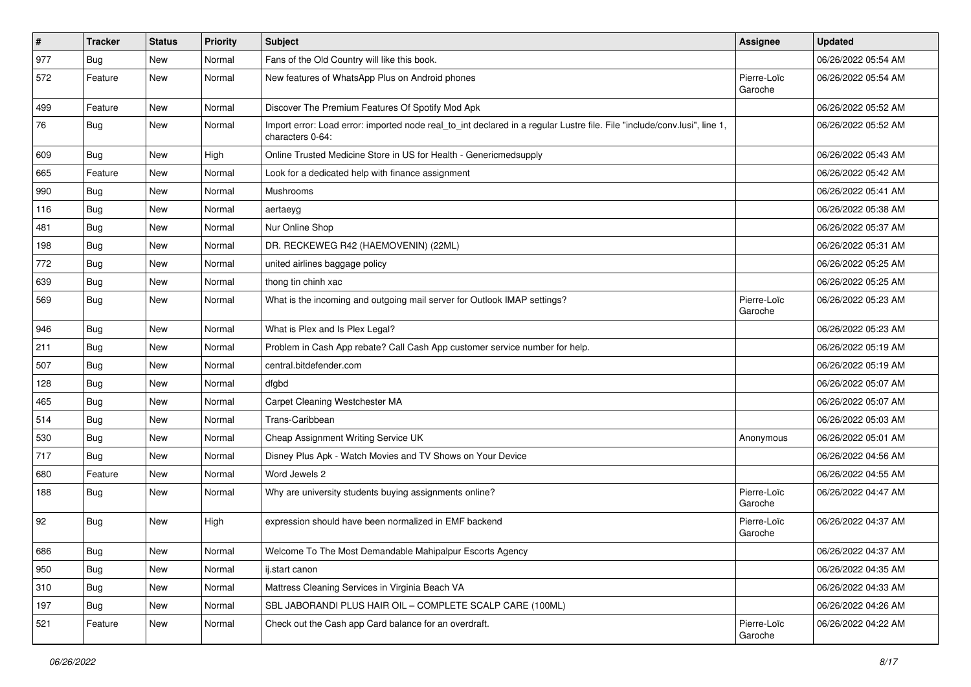| $\vert$ # | <b>Tracker</b> | <b>Status</b> | <b>Priority</b> | Subject                                                                                                                                      | Assignee               | <b>Updated</b>      |
|-----------|----------------|---------------|-----------------|----------------------------------------------------------------------------------------------------------------------------------------------|------------------------|---------------------|
| 977       | <b>Bug</b>     | New           | Normal          | Fans of the Old Country will like this book.                                                                                                 |                        | 06/26/2022 05:54 AM |
| 572       | Feature        | <b>New</b>    | Normal          | New features of WhatsApp Plus on Android phones                                                                                              | Pierre-Loïc<br>Garoche | 06/26/2022 05:54 AM |
| 499       | Feature        | New           | Normal          | Discover The Premium Features Of Spotify Mod Apk                                                                                             |                        | 06/26/2022 05:52 AM |
| 76        | Bug            | New           | Normal          | Import error: Load error: imported node real_to_int declared in a regular Lustre file. File "include/conv.lusi", line 1,<br>characters 0-64: |                        | 06/26/2022 05:52 AM |
| 609       | Bug            | New           | High            | Online Trusted Medicine Store in US for Health - Genericmedsupply                                                                            |                        | 06/26/2022 05:43 AM |
| 665       | Feature        | <b>New</b>    | Normal          | Look for a dedicated help with finance assignment                                                                                            |                        | 06/26/2022 05:42 AM |
| 990       | Bug            | New           | Normal          | Mushrooms                                                                                                                                    |                        | 06/26/2022 05:41 AM |
| 116       | Bug            | <b>New</b>    | Normal          | aertaeyg                                                                                                                                     |                        | 06/26/2022 05:38 AM |
| 481       | Bug            | New           | Normal          | Nur Online Shop                                                                                                                              |                        | 06/26/2022 05:37 AM |
| 198       | Bug            | New           | Normal          | DR. RECKEWEG R42 (HAEMOVENIN) (22ML)                                                                                                         |                        | 06/26/2022 05:31 AM |
| 772       | Bug            | New           | Normal          | united airlines baggage policy                                                                                                               |                        | 06/26/2022 05:25 AM |
| 639       | Bug            | New           | Normal          | thong tin chinh xac                                                                                                                          |                        | 06/26/2022 05:25 AM |
| 569       | Bug            | New           | Normal          | What is the incoming and outgoing mail server for Outlook IMAP settings?                                                                     | Pierre-Loïc<br>Garoche | 06/26/2022 05:23 AM |
| 946       | <b>Bug</b>     | New           | Normal          | What is Plex and Is Plex Legal?                                                                                                              |                        | 06/26/2022 05:23 AM |
| 211       | Bug            | New           | Normal          | Problem in Cash App rebate? Call Cash App customer service number for help.                                                                  |                        | 06/26/2022 05:19 AM |
| 507       | <b>Bug</b>     | New           | Normal          | central.bitdefender.com                                                                                                                      |                        | 06/26/2022 05:19 AM |
| 128       | <b>Bug</b>     | New           | Normal          | dfgbd                                                                                                                                        |                        | 06/26/2022 05:07 AM |
| 465       | Bug            | <b>New</b>    | Normal          | Carpet Cleaning Westchester MA                                                                                                               |                        | 06/26/2022 05:07 AM |
| 514       | <b>Bug</b>     | New           | Normal          | Trans-Caribbean                                                                                                                              |                        | 06/26/2022 05:03 AM |
| 530       | Bug            | New           | Normal          | Cheap Assignment Writing Service UK                                                                                                          | Anonymous              | 06/26/2022 05:01 AM |
| 717       | Bug            | New           | Normal          | Disney Plus Apk - Watch Movies and TV Shows on Your Device                                                                                   |                        | 06/26/2022 04:56 AM |
| 680       | Feature        | New           | Normal          | Word Jewels 2                                                                                                                                |                        | 06/26/2022 04:55 AM |
| 188       | Bug            | New           | Normal          | Why are university students buying assignments online?                                                                                       | Pierre-Loïc<br>Garoche | 06/26/2022 04:47 AM |
| 92        | Bug            | New           | High            | expression should have been normalized in EMF backend                                                                                        | Pierre-Loïc<br>Garoche | 06/26/2022 04:37 AM |
| 686       | Bug            | New           | Normal          | Welcome To The Most Demandable Mahipalpur Escorts Agency                                                                                     |                        | 06/26/2022 04:37 AM |
| 950       | Bug            | New           | Normal          | ij.start canon                                                                                                                               |                        | 06/26/2022 04:35 AM |
| 310       | Bug            | New           | Normal          | Mattress Cleaning Services in Virginia Beach VA                                                                                              |                        | 06/26/2022 04:33 AM |
| 197       | <b>Bug</b>     | New           | Normal          | SBL JABORANDI PLUS HAIR OIL - COMPLETE SCALP CARE (100ML)                                                                                    |                        | 06/26/2022 04:26 AM |
| 521       | Feature        | New           | Normal          | Check out the Cash app Card balance for an overdraft.                                                                                        | Pierre-Loïc<br>Garoche | 06/26/2022 04:22 AM |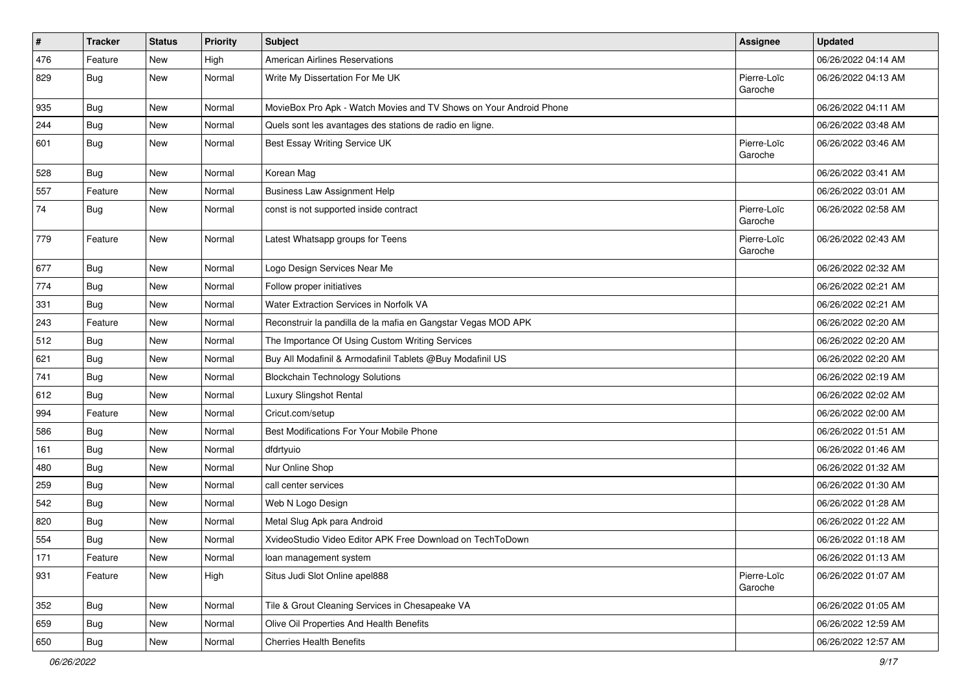| $\sharp$ | <b>Tracker</b> | <b>Status</b> | <b>Priority</b> | Subject                                                            | <b>Assignee</b>        | <b>Updated</b>      |
|----------|----------------|---------------|-----------------|--------------------------------------------------------------------|------------------------|---------------------|
| 476      | Feature        | New           | High            | <b>American Airlines Reservations</b>                              |                        | 06/26/2022 04:14 AM |
| 829      | Bug            | New           | Normal          | Write My Dissertation For Me UK                                    | Pierre-Loïc<br>Garoche | 06/26/2022 04:13 AM |
| 935      | <b>Bug</b>     | <b>New</b>    | Normal          | MovieBox Pro Apk - Watch Movies and TV Shows on Your Android Phone |                        | 06/26/2022 04:11 AM |
| 244      | Bug            | New           | Normal          | Quels sont les avantages des stations de radio en ligne.           |                        | 06/26/2022 03:48 AM |
| 601      | Bug            | New           | Normal          | Best Essay Writing Service UK                                      | Pierre-Loïc<br>Garoche | 06/26/2022 03:46 AM |
| 528      | Bug            | New           | Normal          | Korean Mag                                                         |                        | 06/26/2022 03:41 AM |
| 557      | Feature        | New           | Normal          | <b>Business Law Assignment Help</b>                                |                        | 06/26/2022 03:01 AM |
| 74       | <b>Bug</b>     | New           | Normal          | const is not supported inside contract                             | Pierre-Loïc<br>Garoche | 06/26/2022 02:58 AM |
| 779      | Feature        | New           | Normal          | Latest Whatsapp groups for Teens                                   | Pierre-Loïc<br>Garoche | 06/26/2022 02:43 AM |
| 677      | Bug            | New           | Normal          | Logo Design Services Near Me                                       |                        | 06/26/2022 02:32 AM |
| 774      | <b>Bug</b>     | <b>New</b>    | Normal          | Follow proper initiatives                                          |                        | 06/26/2022 02:21 AM |
| 331      | Bug            | New           | Normal          | Water Extraction Services in Norfolk VA                            |                        | 06/26/2022 02:21 AM |
| 243      | Feature        | New           | Normal          | Reconstruir la pandilla de la mafia en Gangstar Vegas MOD APK      |                        | 06/26/2022 02:20 AM |
| 512      | <b>Bug</b>     | New           | Normal          | The Importance Of Using Custom Writing Services                    |                        | 06/26/2022 02:20 AM |
| 621      | Bug            | New           | Normal          | Buy All Modafinil & Armodafinil Tablets @Buy Modafinil US          |                        | 06/26/2022 02:20 AM |
| 741      | <b>Bug</b>     | <b>New</b>    | Normal          | <b>Blockchain Technology Solutions</b>                             |                        | 06/26/2022 02:19 AM |
| 612      | Bug            | New           | Normal          | Luxury Slingshot Rental                                            |                        | 06/26/2022 02:02 AM |
| 994      | Feature        | New           | Normal          | Cricut.com/setup                                                   |                        | 06/26/2022 02:00 AM |
| 586      | Bug            | New           | Normal          | Best Modifications For Your Mobile Phone                           |                        | 06/26/2022 01:51 AM |
| 161      | <b>Bug</b>     | New           | Normal          | dfdrtyuio                                                          |                        | 06/26/2022 01:46 AM |
| 480      | Bug            | New           | Normal          | Nur Online Shop                                                    |                        | 06/26/2022 01:32 AM |
| 259      | Bug            | New           | Normal          | call center services                                               |                        | 06/26/2022 01:30 AM |
| 542      | <b>Bug</b>     | New           | Normal          | Web N Logo Design                                                  |                        | 06/26/2022 01:28 AM |
| 820      | <b>Bug</b>     | New           | Normal          | Metal Slug Apk para Android                                        |                        | 06/26/2022 01:22 AM |
| 554      | <b>Bug</b>     | New           | Normal          | XvideoStudio Video Editor APK Free Download on TechToDown          |                        | 06/26/2022 01:18 AM |
| 171      | Feature        | New           | Normal          | loan management system                                             |                        | 06/26/2022 01:13 AM |
| 931      | Feature        | New           | High            | Situs Judi Slot Online apel888                                     | Pierre-Loïc<br>Garoche | 06/26/2022 01:07 AM |
| 352      | Bug            | New           | Normal          | Tile & Grout Cleaning Services in Chesapeake VA                    |                        | 06/26/2022 01:05 AM |
| 659      | <b>Bug</b>     | New           | Normal          | Olive Oil Properties And Health Benefits                           |                        | 06/26/2022 12:59 AM |
| 650      | Bug            | New           | Normal          | <b>Cherries Health Benefits</b>                                    |                        | 06/26/2022 12:57 AM |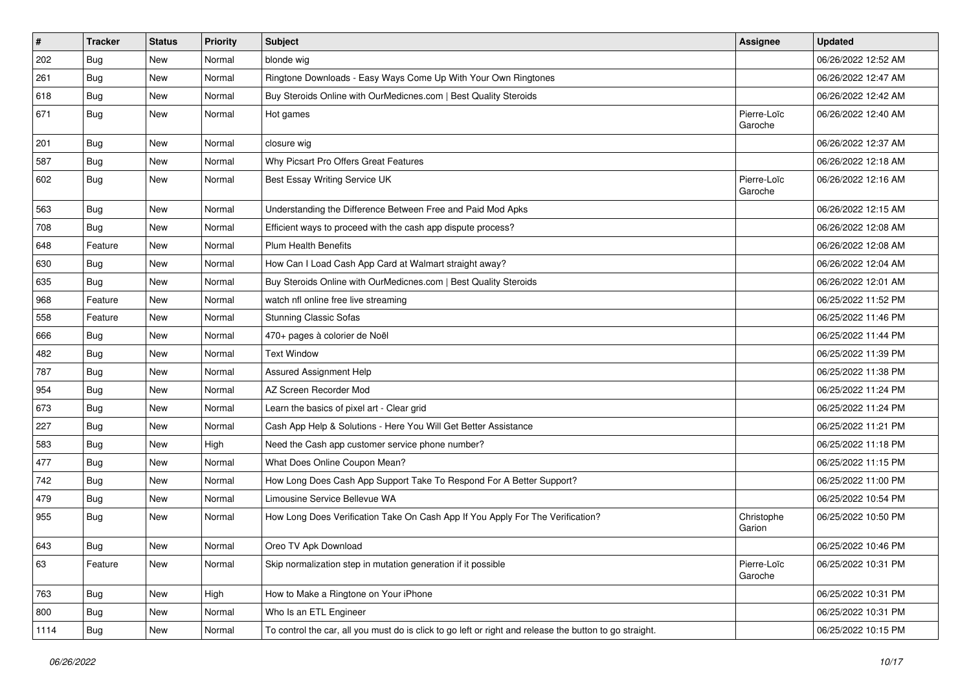| $\sharp$ | <b>Tracker</b> | <b>Status</b> | <b>Priority</b> | Subject                                                                                                 | <b>Assignee</b>        | <b>Updated</b>      |
|----------|----------------|---------------|-----------------|---------------------------------------------------------------------------------------------------------|------------------------|---------------------|
| 202      | <b>Bug</b>     | New           | Normal          | blonde wig                                                                                              |                        | 06/26/2022 12:52 AM |
| 261      | Bug            | New           | Normal          | Ringtone Downloads - Easy Ways Come Up With Your Own Ringtones                                          |                        | 06/26/2022 12:47 AM |
| 618      | Bug            | New           | Normal          | Buy Steroids Online with OurMedicnes.com   Best Quality Steroids                                        |                        | 06/26/2022 12:42 AM |
| 671      | <b>Bug</b>     | New           | Normal          | Hot games                                                                                               | Pierre-Loïc<br>Garoche | 06/26/2022 12:40 AM |
| 201      | <b>Bug</b>     | New           | Normal          | closure wig                                                                                             |                        | 06/26/2022 12:37 AM |
| 587      | <b>Bug</b>     | New           | Normal          | Why Picsart Pro Offers Great Features                                                                   |                        | 06/26/2022 12:18 AM |
| 602      | <b>Bug</b>     | New           | Normal          | Best Essay Writing Service UK                                                                           | Pierre-Loïc<br>Garoche | 06/26/2022 12:16 AM |
| 563      | <b>Bug</b>     | New           | Normal          | Understanding the Difference Between Free and Paid Mod Apks                                             |                        | 06/26/2022 12:15 AM |
| 708      | Bug            | New           | Normal          | Efficient ways to proceed with the cash app dispute process?                                            |                        | 06/26/2022 12:08 AM |
| 648      | Feature        | New           | Normal          | <b>Plum Health Benefits</b>                                                                             |                        | 06/26/2022 12:08 AM |
| 630      | Bug            | New           | Normal          | How Can I Load Cash App Card at Walmart straight away?                                                  |                        | 06/26/2022 12:04 AM |
| 635      | <b>Bug</b>     | New           | Normal          | Buy Steroids Online with OurMedicnes.com   Best Quality Steroids                                        |                        | 06/26/2022 12:01 AM |
| 968      | Feature        | New           | Normal          | watch nfl online free live streaming                                                                    |                        | 06/25/2022 11:52 PM |
| 558      | Feature        | New           | Normal          | <b>Stunning Classic Sofas</b>                                                                           |                        | 06/25/2022 11:46 PM |
| 666      | <b>Bug</b>     | New           | Normal          | 470+ pages à colorier de Noël                                                                           |                        | 06/25/2022 11:44 PM |
| 482      | Bug            | New           | Normal          | <b>Text Window</b>                                                                                      |                        | 06/25/2022 11:39 PM |
| 787      | <b>Bug</b>     | New           | Normal          | Assured Assignment Help                                                                                 |                        | 06/25/2022 11:38 PM |
| 954      | <b>Bug</b>     | New           | Normal          | AZ Screen Recorder Mod                                                                                  |                        | 06/25/2022 11:24 PM |
| 673      | <b>Bug</b>     | New           | Normal          | Learn the basics of pixel art - Clear grid                                                              |                        | 06/25/2022 11:24 PM |
| 227      | Bug            | New           | Normal          | Cash App Help & Solutions - Here You Will Get Better Assistance                                         |                        | 06/25/2022 11:21 PM |
| 583      | <b>Bug</b>     | New           | High            | Need the Cash app customer service phone number?                                                        |                        | 06/25/2022 11:18 PM |
| 477      | <b>Bug</b>     | New           | Normal          | What Does Online Coupon Mean?                                                                           |                        | 06/25/2022 11:15 PM |
| 742      | <b>Bug</b>     | New           | Normal          | How Long Does Cash App Support Take To Respond For A Better Support?                                    |                        | 06/25/2022 11:00 PM |
| 479      | Bug            | New           | Normal          | Limousine Service Bellevue WA                                                                           |                        | 06/25/2022 10:54 PM |
| 955      | Bug            | New           | Normal          | How Long Does Verification Take On Cash App If You Apply For The Verification?                          | Christophe<br>Garion   | 06/25/2022 10:50 PM |
| 643      | Bug            | New           | Normal          | Oreo TV Apk Download                                                                                    |                        | 06/25/2022 10:46 PM |
| 63       | Feature        | New           | Normal          | Skip normalization step in mutation generation if it possible                                           | Pierre-Loïc<br>Garoche | 06/25/2022 10:31 PM |
| 763      | <b>Bug</b>     | New           | High            | How to Make a Ringtone on Your iPhone                                                                   |                        | 06/25/2022 10:31 PM |
| 800      | Bug            | New           | Normal          | Who Is an ETL Engineer                                                                                  |                        | 06/25/2022 10:31 PM |
| 1114     | Bug            | New           | Normal          | To control the car, all you must do is click to go left or right and release the button to go straight. |                        | 06/25/2022 10:15 PM |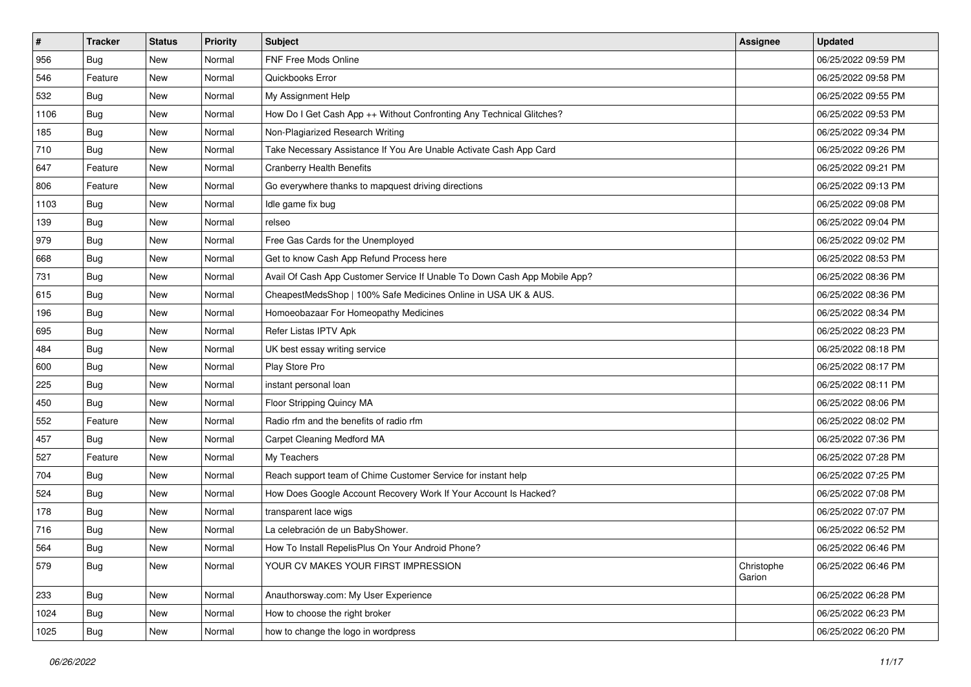| $\sharp$ | <b>Tracker</b> | <b>Status</b> | <b>Priority</b> | Subject                                                                   | <b>Assignee</b>      | <b>Updated</b>      |
|----------|----------------|---------------|-----------------|---------------------------------------------------------------------------|----------------------|---------------------|
| 956      | <b>Bug</b>     | New           | Normal          | <b>FNF Free Mods Online</b>                                               |                      | 06/25/2022 09:59 PM |
| 546      | Feature        | New           | Normal          | Quickbooks Error                                                          |                      | 06/25/2022 09:58 PM |
| 532      | Bug            | New           | Normal          | My Assignment Help                                                        |                      | 06/25/2022 09:55 PM |
| 1106     | <b>Bug</b>     | New           | Normal          | How Do I Get Cash App ++ Without Confronting Any Technical Glitches?      |                      | 06/25/2022 09:53 PM |
| 185      | Bug            | New           | Normal          | Non-Plagiarized Research Writing                                          |                      | 06/25/2022 09:34 PM |
| 710      | <b>Bug</b>     | New           | Normal          | Take Necessary Assistance If You Are Unable Activate Cash App Card        |                      | 06/25/2022 09:26 PM |
| 647      | Feature        | New           | Normal          | <b>Cranberry Health Benefits</b>                                          |                      | 06/25/2022 09:21 PM |
| 806      | Feature        | New           | Normal          | Go everywhere thanks to mapquest driving directions                       |                      | 06/25/2022 09:13 PM |
| 1103     | Bug            | New           | Normal          | Idle game fix bug                                                         |                      | 06/25/2022 09:08 PM |
| 139      | Bug            | New           | Normal          | relseo                                                                    |                      | 06/25/2022 09:04 PM |
| 979      | <b>Bug</b>     | New           | Normal          | Free Gas Cards for the Unemployed                                         |                      | 06/25/2022 09:02 PM |
| 668      | Bug            | New           | Normal          | Get to know Cash App Refund Process here                                  |                      | 06/25/2022 08:53 PM |
| 731      | Bug            | New           | Normal          | Avail Of Cash App Customer Service If Unable To Down Cash App Mobile App? |                      | 06/25/2022 08:36 PM |
| 615      | Bug            | New           | Normal          | CheapestMedsShop   100% Safe Medicines Online in USA UK & AUS.            |                      | 06/25/2022 08:36 PM |
| 196      | <b>Bug</b>     | New           | Normal          | Homoeobazaar For Homeopathy Medicines                                     |                      | 06/25/2022 08:34 PM |
| 695      | Bug            | New           | Normal          | Refer Listas IPTV Apk                                                     |                      | 06/25/2022 08:23 PM |
| 484      | <b>Bug</b>     | New           | Normal          | UK best essay writing service                                             |                      | 06/25/2022 08:18 PM |
| 600      | Bug            | <b>New</b>    | Normal          | Play Store Pro                                                            |                      | 06/25/2022 08:17 PM |
| 225      | Bug            | New           | Normal          | instant personal loan                                                     |                      | 06/25/2022 08:11 PM |
| 450      | Bug            | New           | Normal          | Floor Stripping Quincy MA                                                 |                      | 06/25/2022 08:06 PM |
| 552      | Feature        | New           | Normal          | Radio rfm and the benefits of radio rfm                                   |                      | 06/25/2022 08:02 PM |
| 457      | Bug            | New           | Normal          | Carpet Cleaning Medford MA                                                |                      | 06/25/2022 07:36 PM |
| 527      | Feature        | New           | Normal          | My Teachers                                                               |                      | 06/25/2022 07:28 PM |
| 704      | <b>Bug</b>     | New           | Normal          | Reach support team of Chime Customer Service for instant help             |                      | 06/25/2022 07:25 PM |
| 524      | Bug            | New           | Normal          | How Does Google Account Recovery Work If Your Account Is Hacked?          |                      | 06/25/2022 07:08 PM |
| 178      | Bug            | New           | Normal          | transparent lace wigs                                                     |                      | 06/25/2022 07:07 PM |
| 716      | <b>Bug</b>     | New           | Normal          | La celebración de un BabyShower.                                          |                      | 06/25/2022 06:52 PM |
| 564      | <b>Bug</b>     | New           | Normal          | How To Install RepelisPlus On Your Android Phone?                         |                      | 06/25/2022 06:46 PM |
| 579      | <b>Bug</b>     | New           | Normal          | YOUR CV MAKES YOUR FIRST IMPRESSION                                       | Christophe<br>Garion | 06/25/2022 06:46 PM |
| 233      | Bug            | New           | Normal          | Anauthorsway.com: My User Experience                                      |                      | 06/25/2022 06:28 PM |
| 1024     | <b>Bug</b>     | New           | Normal          | How to choose the right broker                                            |                      | 06/25/2022 06:23 PM |
| 1025     | <b>Bug</b>     | New           | Normal          | how to change the logo in wordpress                                       |                      | 06/25/2022 06:20 PM |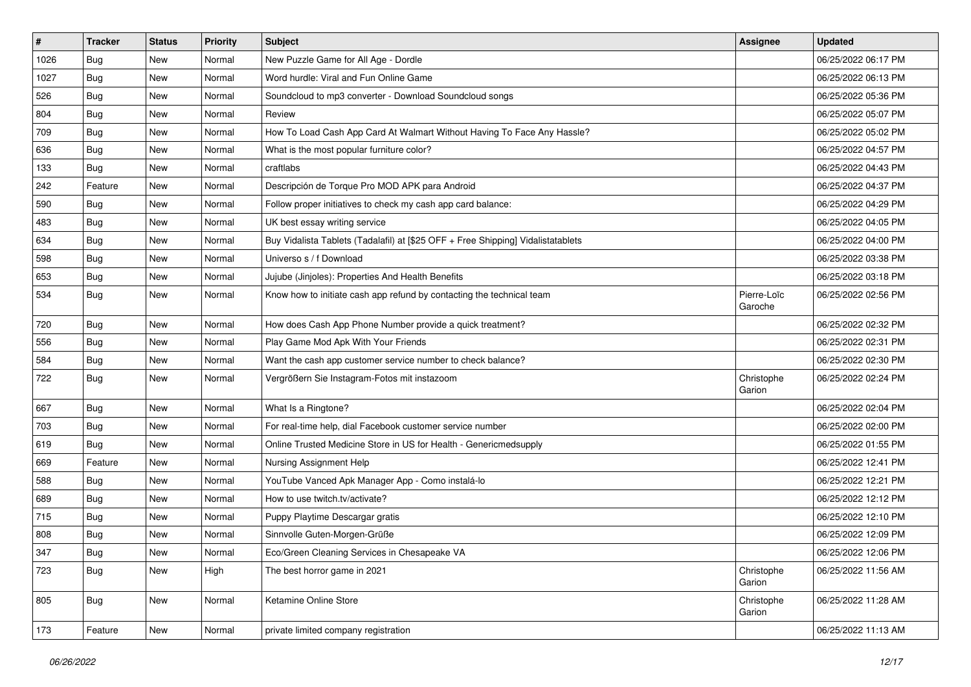| $\vert$ # | <b>Tracker</b> | <b>Status</b> | Priority | Subject                                                                          | <b>Assignee</b>        | <b>Updated</b>      |
|-----------|----------------|---------------|----------|----------------------------------------------------------------------------------|------------------------|---------------------|
| 1026      | <b>Bug</b>     | New           | Normal   | New Puzzle Game for All Age - Dordle                                             |                        | 06/25/2022 06:17 PM |
| 1027      | Bug            | <b>New</b>    | Normal   | Word hurdle: Viral and Fun Online Game                                           |                        | 06/25/2022 06:13 PM |
| 526       | <b>Bug</b>     | New           | Normal   | Soundcloud to mp3 converter - Download Soundcloud songs                          |                        | 06/25/2022 05:36 PM |
| 804       | <b>Bug</b>     | New           | Normal   | Review                                                                           |                        | 06/25/2022 05:07 PM |
| 709       | Bug            | New           | Normal   | How To Load Cash App Card At Walmart Without Having To Face Any Hassle?          |                        | 06/25/2022 05:02 PM |
| 636       | Bug            | New           | Normal   | What is the most popular furniture color?                                        |                        | 06/25/2022 04:57 PM |
| 133       | <b>Bug</b>     | New           | Normal   | craftlabs                                                                        |                        | 06/25/2022 04:43 PM |
| 242       | Feature        | New           | Normal   | Descripción de Torque Pro MOD APK para Android                                   |                        | 06/25/2022 04:37 PM |
| 590       | <b>Bug</b>     | New           | Normal   | Follow proper initiatives to check my cash app card balance:                     |                        | 06/25/2022 04:29 PM |
| 483       | Bug            | New           | Normal   | UK best essay writing service                                                    |                        | 06/25/2022 04:05 PM |
| 634       | Bug            | New           | Normal   | Buy Vidalista Tablets (Tadalafil) at [\$25 OFF + Free Shipping] Vidalistatablets |                        | 06/25/2022 04:00 PM |
| 598       | Bug            | New           | Normal   | Universo s / f Download                                                          |                        | 06/25/2022 03:38 PM |
| 653       | Bug            | New           | Normal   | Jujube (Jinjoles): Properties And Health Benefits                                |                        | 06/25/2022 03:18 PM |
| 534       | <b>Bug</b>     | New           | Normal   | Know how to initiate cash app refund by contacting the technical team            | Pierre-Loïc<br>Garoche | 06/25/2022 02:56 PM |
| 720       | Bug            | New           | Normal   | How does Cash App Phone Number provide a quick treatment?                        |                        | 06/25/2022 02:32 PM |
| 556       | Bug            | New           | Normal   | Play Game Mod Apk With Your Friends                                              |                        | 06/25/2022 02:31 PM |
| 584       | Bug            | New           | Normal   | Want the cash app customer service number to check balance?                      |                        | 06/25/2022 02:30 PM |
| 722       | <b>Bug</b>     | New           | Normal   | Vergrößern Sie Instagram-Fotos mit instazoom                                     | Christophe<br>Garion   | 06/25/2022 02:24 PM |
| 667       | Bug            | New           | Normal   | What Is a Ringtone?                                                              |                        | 06/25/2022 02:04 PM |
| 703       | <b>Bug</b>     | New           | Normal   | For real-time help, dial Facebook customer service number                        |                        | 06/25/2022 02:00 PM |
| 619       | Bug            | New           | Normal   | Online Trusted Medicine Store in US for Health - Genericmedsupply                |                        | 06/25/2022 01:55 PM |
| 669       | Feature        | New           | Normal   | Nursing Assignment Help                                                          |                        | 06/25/2022 12:41 PM |
| 588       | <b>Bug</b>     | New           | Normal   | YouTube Vanced Apk Manager App - Como instalá-lo                                 |                        | 06/25/2022 12:21 PM |
| 689       | Bug            | New           | Normal   | How to use twitch.tv/activate?                                                   |                        | 06/25/2022 12:12 PM |
| 715       | <b>Bug</b>     | New           | Normal   | Puppy Playtime Descargar gratis                                                  |                        | 06/25/2022 12:10 PM |
| 808       | <b>Bug</b>     | New           | Normal   | Sinnvolle Guten-Morgen-Grüße                                                     |                        | 06/25/2022 12:09 PM |
| 347       | <b>Bug</b>     | New           | Normal   | Eco/Green Cleaning Services in Chesapeake VA                                     |                        | 06/25/2022 12:06 PM |
| 723       | Bug            | New           | High     | The best horror game in 2021                                                     | Christophe<br>Garion   | 06/25/2022 11:56 AM |
| 805       | Bug            | New           | Normal   | Ketamine Online Store                                                            | Christophe<br>Garion   | 06/25/2022 11:28 AM |
| 173       | Feature        | New           | Normal   | private limited company registration                                             |                        | 06/25/2022 11:13 AM |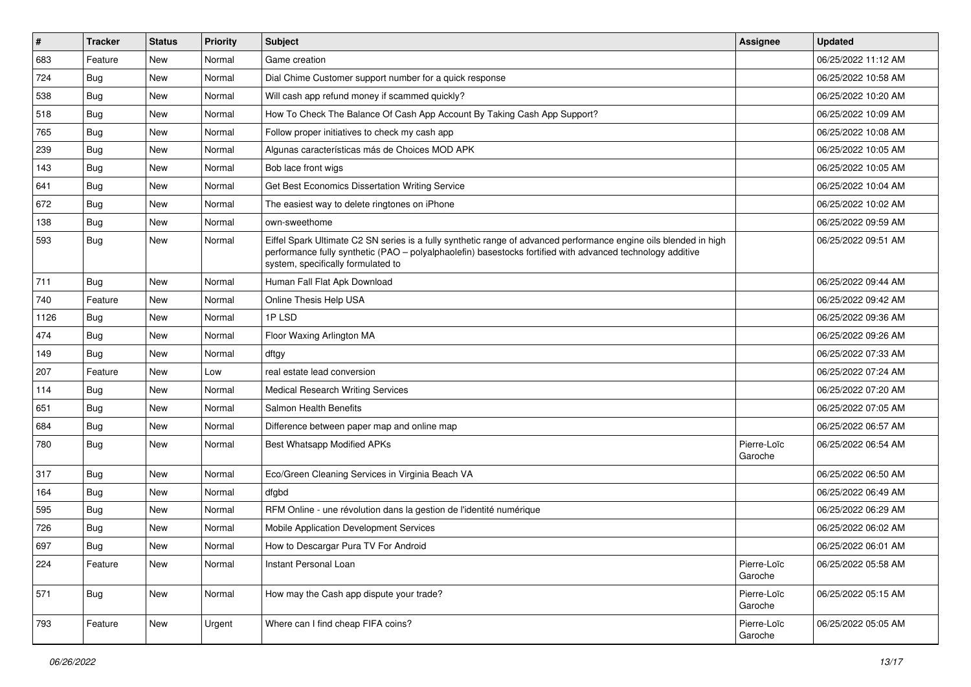| $\vert$ # | <b>Tracker</b> | <b>Status</b> | <b>Priority</b> | Subject                                                                                                                                                                                                                                                               | <b>Assignee</b>        | <b>Updated</b>      |
|-----------|----------------|---------------|-----------------|-----------------------------------------------------------------------------------------------------------------------------------------------------------------------------------------------------------------------------------------------------------------------|------------------------|---------------------|
| 683       | Feature        | New           | Normal          | Game creation                                                                                                                                                                                                                                                         |                        | 06/25/2022 11:12 AM |
| 724       | <b>Bug</b>     | New           | Normal          | Dial Chime Customer support number for a quick response                                                                                                                                                                                                               |                        | 06/25/2022 10:58 AM |
| 538       | <b>Bug</b>     | New           | Normal          | Will cash app refund money if scammed quickly?                                                                                                                                                                                                                        |                        | 06/25/2022 10:20 AM |
| 518       | <b>Bug</b>     | <b>New</b>    | Normal          | How To Check The Balance Of Cash App Account By Taking Cash App Support?                                                                                                                                                                                              |                        | 06/25/2022 10:09 AM |
| 765       | Bug            | New           | Normal          | Follow proper initiatives to check my cash app                                                                                                                                                                                                                        |                        | 06/25/2022 10:08 AM |
| 239       | <b>Bug</b>     | New           | Normal          | Algunas características más de Choices MOD APK                                                                                                                                                                                                                        |                        | 06/25/2022 10:05 AM |
| 143       | <b>Bug</b>     | New           | Normal          | Bob lace front wigs                                                                                                                                                                                                                                                   |                        | 06/25/2022 10:05 AM |
| 641       | Bug            | New           | Normal          | Get Best Economics Dissertation Writing Service                                                                                                                                                                                                                       |                        | 06/25/2022 10:04 AM |
| 672       | Bug            | New           | Normal          | The easiest way to delete ringtones on iPhone                                                                                                                                                                                                                         |                        | 06/25/2022 10:02 AM |
| 138       | Bug            | New           | Normal          | own-sweethome                                                                                                                                                                                                                                                         |                        | 06/25/2022 09:59 AM |
| 593       | <b>Bug</b>     | New           | Normal          | Eiffel Spark Ultimate C2 SN series is a fully synthetic range of advanced performance engine oils blended in high<br>performance fully synthetic (PAO - polyalphaolefin) basestocks fortified with advanced technology additive<br>system, specifically formulated to |                        | 06/25/2022 09:51 AM |
| 711       | <b>Bug</b>     | New           | Normal          | Human Fall Flat Apk Download                                                                                                                                                                                                                                          |                        | 06/25/2022 09:44 AM |
| 740       | Feature        | New           | Normal          | Online Thesis Help USA                                                                                                                                                                                                                                                |                        | 06/25/2022 09:42 AM |
| 1126      | Bug            | New           | Normal          | 1PLSD                                                                                                                                                                                                                                                                 |                        | 06/25/2022 09:36 AM |
| 474       | <b>Bug</b>     | New           | Normal          | Floor Waxing Arlington MA                                                                                                                                                                                                                                             |                        | 06/25/2022 09:26 AM |
| 149       | <b>Bug</b>     | New           | Normal          | dftgy                                                                                                                                                                                                                                                                 |                        | 06/25/2022 07:33 AM |
| 207       | Feature        | New           | Low             | real estate lead conversion                                                                                                                                                                                                                                           |                        | 06/25/2022 07:24 AM |
| 114       | Bug            | New           | Normal          | <b>Medical Research Writing Services</b>                                                                                                                                                                                                                              |                        | 06/25/2022 07:20 AM |
| 651       | <b>Bug</b>     | New           | Normal          | Salmon Health Benefits                                                                                                                                                                                                                                                |                        | 06/25/2022 07:05 AM |
| 684       | <b>Bug</b>     | New           | Normal          | Difference between paper map and online map                                                                                                                                                                                                                           |                        | 06/25/2022 06:57 AM |
| 780       | <b>Bug</b>     | New           | Normal          | Best Whatsapp Modified APKs                                                                                                                                                                                                                                           | Pierre-Loïc<br>Garoche | 06/25/2022 06:54 AM |
| 317       | <b>Bug</b>     | New           | Normal          | Eco/Green Cleaning Services in Virginia Beach VA                                                                                                                                                                                                                      |                        | 06/25/2022 06:50 AM |
| 164       | Bug            | New           | Normal          | dfgbd                                                                                                                                                                                                                                                                 |                        | 06/25/2022 06:49 AM |
| 595       | <b>Bug</b>     | New           | Normal          | RFM Online - une révolution dans la gestion de l'identité numérique                                                                                                                                                                                                   |                        | 06/25/2022 06:29 AM |
| 726       | <b>Bug</b>     | New           | Normal          | Mobile Application Development Services                                                                                                                                                                                                                               |                        | 06/25/2022 06:02 AM |
| 697       | Bug            | New           | Normal          | How to Descargar Pura TV For Android                                                                                                                                                                                                                                  |                        | 06/25/2022 06:01 AM |
| 224       | Feature        | New           | Normal          | Instant Personal Loan                                                                                                                                                                                                                                                 | Pierre-Loïc<br>Garoche | 06/25/2022 05:58 AM |
| 571       | Bug            | New           | Normal          | How may the Cash app dispute your trade?                                                                                                                                                                                                                              | Pierre-Loïc<br>Garoche | 06/25/2022 05:15 AM |
| 793       | Feature        | New           | Urgent          | Where can I find cheap FIFA coins?                                                                                                                                                                                                                                    | Pierre-Loïc<br>Garoche | 06/25/2022 05:05 AM |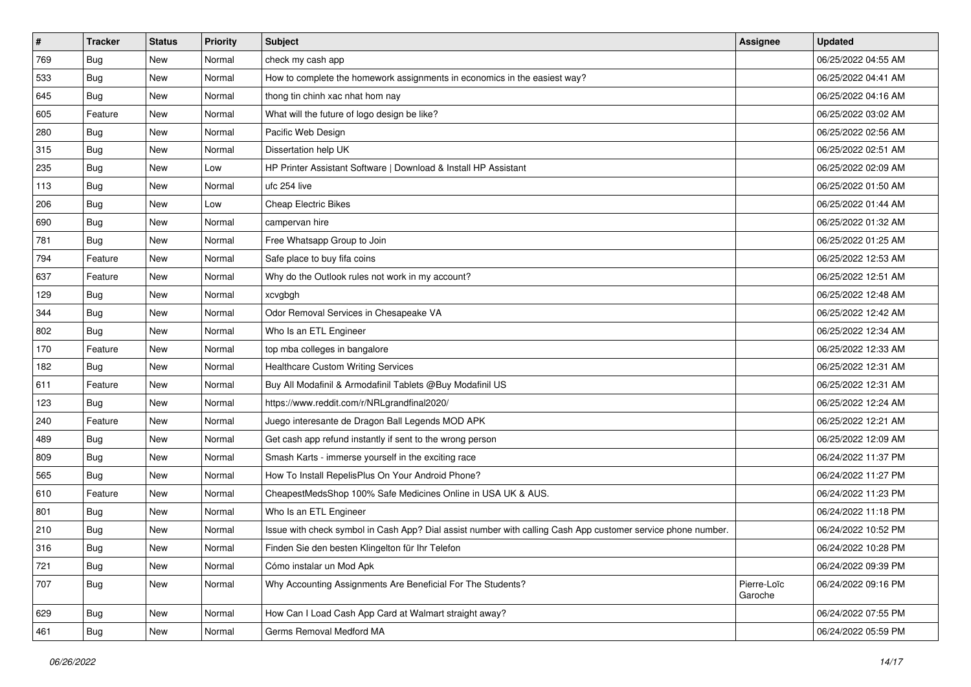| $\sharp$ | <b>Tracker</b> | <b>Status</b> | <b>Priority</b> | Subject                                                                                                      | <b>Assignee</b>        | <b>Updated</b>      |
|----------|----------------|---------------|-----------------|--------------------------------------------------------------------------------------------------------------|------------------------|---------------------|
| 769      | Bug            | New           | Normal          | check my cash app                                                                                            |                        | 06/25/2022 04:55 AM |
| 533      | <b>Bug</b>     | New           | Normal          | How to complete the homework assignments in economics in the easiest way?                                    |                        | 06/25/2022 04:41 AM |
| 645      | Bug            | New           | Normal          | thong tin chinh xac nhat hom nay                                                                             |                        | 06/25/2022 04:16 AM |
| 605      | Feature        | New           | Normal          | What will the future of logo design be like?                                                                 |                        | 06/25/2022 03:02 AM |
| 280      | Bug            | New           | Normal          | Pacific Web Design                                                                                           |                        | 06/25/2022 02:56 AM |
| 315      | <b>Bug</b>     | New           | Normal          | Dissertation help UK                                                                                         |                        | 06/25/2022 02:51 AM |
| 235      | Bug            | New           | Low             | HP Printer Assistant Software   Download & Install HP Assistant                                              |                        | 06/25/2022 02:09 AM |
| 113      | <b>Bug</b>     | New           | Normal          | ufc 254 live                                                                                                 |                        | 06/25/2022 01:50 AM |
| 206      | Bug            | New           | Low             | Cheap Electric Bikes                                                                                         |                        | 06/25/2022 01:44 AM |
| 690      | Bug            | New           | Normal          | campervan hire                                                                                               |                        | 06/25/2022 01:32 AM |
| 781      | <b>Bug</b>     | New           | Normal          | Free Whatsapp Group to Join                                                                                  |                        | 06/25/2022 01:25 AM |
| 794      | Feature        | New           | Normal          | Safe place to buy fifa coins                                                                                 |                        | 06/25/2022 12:53 AM |
| 637      | Feature        | New           | Normal          | Why do the Outlook rules not work in my account?                                                             |                        | 06/25/2022 12:51 AM |
| 129      | Bug            | New           | Normal          | xcvgbgh                                                                                                      |                        | 06/25/2022 12:48 AM |
| 344      | <b>Bug</b>     | New           | Normal          | Odor Removal Services in Chesapeake VA                                                                       |                        | 06/25/2022 12:42 AM |
| 802      | Bug            | New           | Normal          | Who Is an ETL Engineer                                                                                       |                        | 06/25/2022 12:34 AM |
| 170      | Feature        | New           | Normal          | top mba colleges in bangalore                                                                                |                        | 06/25/2022 12:33 AM |
| 182      | Bug            | <b>New</b>    | Normal          | <b>Healthcare Custom Writing Services</b>                                                                    |                        | 06/25/2022 12:31 AM |
| 611      | Feature        | New           | Normal          | Buy All Modafinil & Armodafinil Tablets @Buy Modafinil US                                                    |                        | 06/25/2022 12:31 AM |
| 123      | Bug            | New           | Normal          | https://www.reddit.com/r/NRLgrandfinal2020/                                                                  |                        | 06/25/2022 12:24 AM |
| 240      | Feature        | New           | Normal          | Juego interesante de Dragon Ball Legends MOD APK                                                             |                        | 06/25/2022 12:21 AM |
| 489      | Bug            | New           | Normal          | Get cash app refund instantly if sent to the wrong person                                                    |                        | 06/25/2022 12:09 AM |
| 809      | Bug            | New           | Normal          | Smash Karts - immerse yourself in the exciting race                                                          |                        | 06/24/2022 11:37 PM |
| 565      | <b>Bug</b>     | New           | Normal          | How To Install RepelisPlus On Your Android Phone?                                                            |                        | 06/24/2022 11:27 PM |
| 610      | Feature        | New           | Normal          | CheapestMedsShop 100% Safe Medicines Online in USA UK & AUS.                                                 |                        | 06/24/2022 11:23 PM |
| 801      | Bug            | New           | Normal          | Who Is an ETL Engineer                                                                                       |                        | 06/24/2022 11:18 PM |
| 210      | <b>Bug</b>     | New           | Normal          | Issue with check symbol in Cash App? Dial assist number with calling Cash App customer service phone number. |                        | 06/24/2022 10:52 PM |
| 316      | <b>Bug</b>     | New           | Normal          | Finden Sie den besten Klingelton für Ihr Telefon                                                             |                        | 06/24/2022 10:28 PM |
| 721      | Bug            | New           | Normal          | Cómo instalar un Mod Apk                                                                                     |                        | 06/24/2022 09:39 PM |
| 707      | <b>Bug</b>     | New           | Normal          | Why Accounting Assignments Are Beneficial For The Students?                                                  | Pierre-Loïc<br>Garoche | 06/24/2022 09:16 PM |
| 629      | Bug            | New           | Normal          | How Can I Load Cash App Card at Walmart straight away?                                                       |                        | 06/24/2022 07:55 PM |
| 461      | <b>Bug</b>     | New           | Normal          | Germs Removal Medford MA                                                                                     |                        | 06/24/2022 05:59 PM |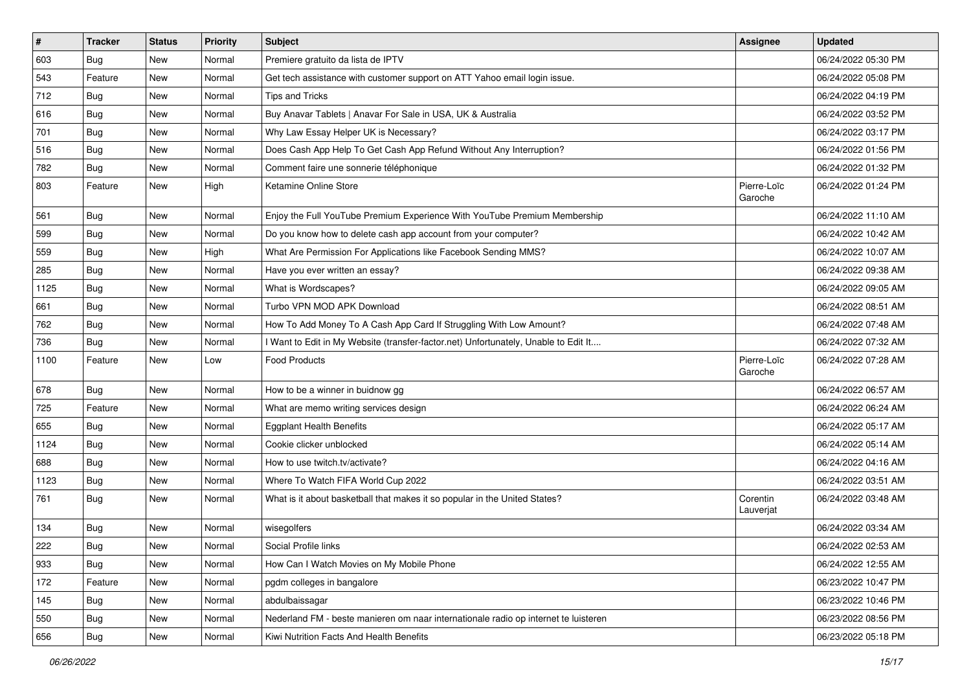| $\vert$ # | <b>Tracker</b> | <b>Status</b> | <b>Priority</b> | Subject                                                                             | <b>Assignee</b>        | <b>Updated</b>      |
|-----------|----------------|---------------|-----------------|-------------------------------------------------------------------------------------|------------------------|---------------------|
| 603       | <b>Bug</b>     | New           | Normal          | Premiere gratuito da lista de IPTV                                                  |                        | 06/24/2022 05:30 PM |
| 543       | Feature        | New           | Normal          | Get tech assistance with customer support on ATT Yahoo email login issue.           |                        | 06/24/2022 05:08 PM |
| 712       | <b>Bug</b>     | New           | Normal          | <b>Tips and Tricks</b>                                                              |                        | 06/24/2022 04:19 PM |
| 616       | <b>Bug</b>     | New           | Normal          | Buy Anavar Tablets   Anavar For Sale in USA, UK & Australia                         |                        | 06/24/2022 03:52 PM |
| 701       | <b>Bug</b>     | New           | Normal          | Why Law Essay Helper UK is Necessary?                                               |                        | 06/24/2022 03:17 PM |
| 516       | <b>Bug</b>     | New           | Normal          | Does Cash App Help To Get Cash App Refund Without Any Interruption?                 |                        | 06/24/2022 01:56 PM |
| 782       | <b>Bug</b>     | New           | Normal          | Comment faire une sonnerie téléphonique                                             |                        | 06/24/2022 01:32 PM |
| 803       | Feature        | New           | High            | Ketamine Online Store                                                               | Pierre-Loïc<br>Garoche | 06/24/2022 01:24 PM |
| 561       | Bug            | New           | Normal          | Enjoy the Full YouTube Premium Experience With YouTube Premium Membership           |                        | 06/24/2022 11:10 AM |
| 599       | Bug            | New           | Normal          | Do you know how to delete cash app account from your computer?                      |                        | 06/24/2022 10:42 AM |
| 559       | <b>Bug</b>     | New           | High            | What Are Permission For Applications like Facebook Sending MMS?                     |                        | 06/24/2022 10:07 AM |
| 285       | Bug            | New           | Normal          | Have you ever written an essay?                                                     |                        | 06/24/2022 09:38 AM |
| 1125      | <b>Bug</b>     | New           | Normal          | What is Wordscapes?                                                                 |                        | 06/24/2022 09:05 AM |
| 661       | Bug            | New           | Normal          | Turbo VPN MOD APK Download                                                          |                        | 06/24/2022 08:51 AM |
| 762       | Bug            | New           | Normal          | How To Add Money To A Cash App Card If Struggling With Low Amount?                  |                        | 06/24/2022 07:48 AM |
| 736       | <b>Bug</b>     | New           | Normal          | I Want to Edit in My Website (transfer-factor.net) Unfortunately, Unable to Edit It |                        | 06/24/2022 07:32 AM |
| 1100      | Feature        | New           | Low             | <b>Food Products</b>                                                                | Pierre-Loïc<br>Garoche | 06/24/2022 07:28 AM |
| 678       | <b>Bug</b>     | New           | Normal          | How to be a winner in buidnow gg                                                    |                        | 06/24/2022 06:57 AM |
| 725       | Feature        | New           | Normal          | What are memo writing services design                                               |                        | 06/24/2022 06:24 AM |
| 655       | <b>Bug</b>     | New           | Normal          | <b>Eggplant Health Benefits</b>                                                     |                        | 06/24/2022 05:17 AM |
| 1124      | <b>Bug</b>     | New           | Normal          | Cookie clicker unblocked                                                            |                        | 06/24/2022 05:14 AM |
| 688       | <b>Bug</b>     | New           | Normal          | How to use twitch.tv/activate?                                                      |                        | 06/24/2022 04:16 AM |
| 1123      | <b>Bug</b>     | New           | Normal          | Where To Watch FIFA World Cup 2022                                                  |                        | 06/24/2022 03:51 AM |
| 761       | Bug            | New           | Normal          | What is it about basketball that makes it so popular in the United States?          | Corentin<br>Lauverjat  | 06/24/2022 03:48 AM |
| 134       | <b>Bug</b>     | New           | Normal          | wisegolfers                                                                         |                        | 06/24/2022 03:34 AM |
| 222       | Bug            | New           | Normal          | Social Profile links                                                                |                        | 06/24/2022 02:53 AM |
| 933       | Bug            | New           | Normal          | How Can I Watch Movies on My Mobile Phone                                           |                        | 06/24/2022 12:55 AM |
| 172       | Feature        | New           | Normal          | pgdm colleges in bangalore                                                          |                        | 06/23/2022 10:47 PM |
| 145       | <b>Bug</b>     | New           | Normal          | abdulbaissagar                                                                      |                        | 06/23/2022 10:46 PM |
| 550       | <b>Bug</b>     | New           | Normal          | Nederland FM - beste manieren om naar internationale radio op internet te luisteren |                        | 06/23/2022 08:56 PM |
| 656       | <b>Bug</b>     | New           | Normal          | Kiwi Nutrition Facts And Health Benefits                                            |                        | 06/23/2022 05:18 PM |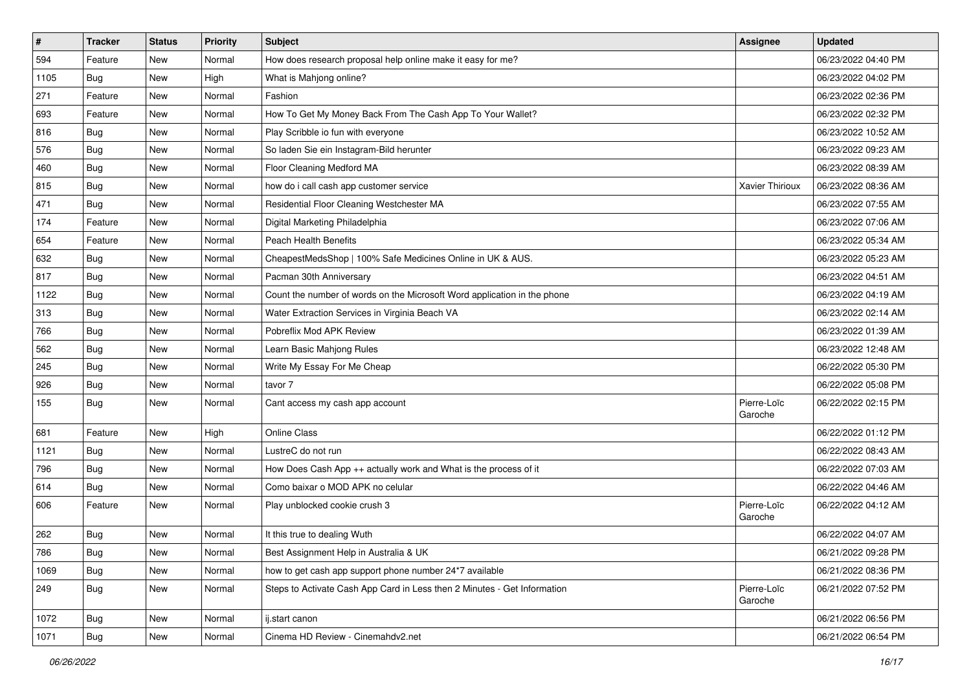| $\sharp$ | <b>Tracker</b> | <b>Status</b> | <b>Priority</b> | Subject                                                                  | <b>Assignee</b>        | <b>Updated</b>      |
|----------|----------------|---------------|-----------------|--------------------------------------------------------------------------|------------------------|---------------------|
| 594      | Feature        | New           | Normal          | How does research proposal help online make it easy for me?              |                        | 06/23/2022 04:40 PM |
| 1105     | Bug            | New           | High            | What is Mahjong online?                                                  |                        | 06/23/2022 04:02 PM |
| 271      | Feature        | New           | Normal          | Fashion                                                                  |                        | 06/23/2022 02:36 PM |
| 693      | Feature        | New           | Normal          | How To Get My Money Back From The Cash App To Your Wallet?               |                        | 06/23/2022 02:32 PM |
| 816      | Bug            | New           | Normal          | Play Scribble io fun with everyone                                       |                        | 06/23/2022 10:52 AM |
| 576      | <b>Bug</b>     | New           | Normal          | So laden Sie ein Instagram-Bild herunter                                 |                        | 06/23/2022 09:23 AM |
| 460      | Bug            | New           | Normal          | Floor Cleaning Medford MA                                                |                        | 06/23/2022 08:39 AM |
| 815      | <b>Bug</b>     | New           | Normal          | how do i call cash app customer service                                  | Xavier Thirioux        | 06/23/2022 08:36 AM |
| 471      | Bug            | New           | Normal          | Residential Floor Cleaning Westchester MA                                |                        | 06/23/2022 07:55 AM |
| 174      | Feature        | New           | Normal          | Digital Marketing Philadelphia                                           |                        | 06/23/2022 07:06 AM |
| 654      | Feature        | New           | Normal          | Peach Health Benefits                                                    |                        | 06/23/2022 05:34 AM |
| 632      | Bug            | New           | Normal          | CheapestMedsShop   100% Safe Medicines Online in UK & AUS.               |                        | 06/23/2022 05:23 AM |
| 817      | Bug            | New           | Normal          | Pacman 30th Anniversary                                                  |                        | 06/23/2022 04:51 AM |
| 1122     | Bug            | New           | Normal          | Count the number of words on the Microsoft Word application in the phone |                        | 06/23/2022 04:19 AM |
| 313      | Bug            | <b>New</b>    | Normal          | Water Extraction Services in Virginia Beach VA                           |                        | 06/23/2022 02:14 AM |
| 766      | Bug            | New           | Normal          | Pobreflix Mod APK Review                                                 |                        | 06/23/2022 01:39 AM |
| 562      | <b>Bug</b>     | <b>New</b>    | Normal          | Learn Basic Mahjong Rules                                                |                        | 06/23/2022 12:48 AM |
| 245      | Bug            | New           | Normal          | Write My Essay For Me Cheap                                              |                        | 06/22/2022 05:30 PM |
| 926      | Bug            | New           | Normal          | tavor 7                                                                  |                        | 06/22/2022 05:08 PM |
| 155      | <b>Bug</b>     | New           | Normal          | Cant access my cash app account                                          | Pierre-Loïc<br>Garoche | 06/22/2022 02:15 PM |
| 681      | Feature        | New           | High            | <b>Online Class</b>                                                      |                        | 06/22/2022 01:12 PM |
| 1121     | Bug            | New           | Normal          | LustreC do not run                                                       |                        | 06/22/2022 08:43 AM |
| 796      | <b>Bug</b>     | New           | Normal          | How Does Cash App $++$ actually work and What is the process of it       |                        | 06/22/2022 07:03 AM |
| 614      | <b>Bug</b>     | New           | Normal          | Como baixar o MOD APK no celular                                         |                        | 06/22/2022 04:46 AM |
| 606      | Feature        | New           | Normal          | Play unblocked cookie crush 3                                            | Pierre-Loïc<br>Garoche | 06/22/2022 04:12 AM |
| 262      | <b>Bug</b>     | New           | Normal          | It this true to dealing Wuth                                             |                        | 06/22/2022 04:07 AM |
| 786      | Bug            | New           | Normal          | Best Assignment Help in Australia & UK                                   |                        | 06/21/2022 09:28 PM |
| 1069     | Bug            | New           | Normal          | how to get cash app support phone number 24*7 available                  |                        | 06/21/2022 08:36 PM |
| 249      | Bug            | New           | Normal          | Steps to Activate Cash App Card in Less then 2 Minutes - Get Information | Pierre-Loïc<br>Garoche | 06/21/2022 07:52 PM |
| 1072     | Bug            | New           | Normal          | ij.start canon                                                           |                        | 06/21/2022 06:56 PM |
| 1071     | <b>Bug</b>     | New           | Normal          | Cinema HD Review - Cinemahdv2.net                                        |                        | 06/21/2022 06:54 PM |